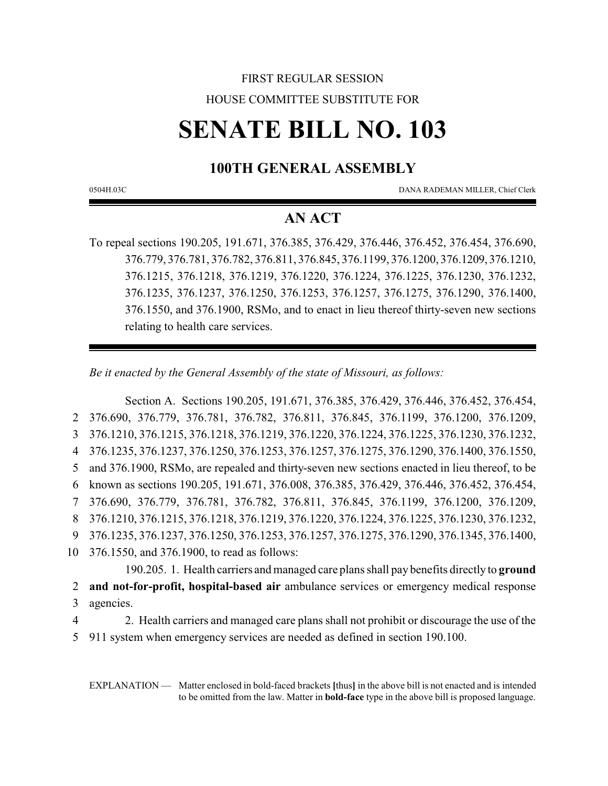## FIRST REGULAR SESSION HOUSE COMMITTEE SUBSTITUTE FOR

# **SENATE BILL NO. 103**

## **100TH GENERAL ASSEMBLY**

0504H.03C DANA RADEMAN MILLER, Chief Clerk

## **AN ACT**

To repeal sections 190.205, 191.671, 376.385, 376.429, 376.446, 376.452, 376.454, 376.690, 376.779, 376.781, 376.782, 376.811, 376.845, 376.1199, 376.1200, 376.1209, 376.1210, 376.1215, 376.1218, 376.1219, 376.1220, 376.1224, 376.1225, 376.1230, 376.1232, 376.1235, 376.1237, 376.1250, 376.1253, 376.1257, 376.1275, 376.1290, 376.1400, 376.1550, and 376.1900, RSMo, and to enact in lieu thereof thirty-seven new sections relating to health care services.

*Be it enacted by the General Assembly of the state of Missouri, as follows:*

Section A. Sections 190.205, 191.671, 376.385, 376.429, 376.446, 376.452, 376.454, 376.690, 376.779, 376.781, 376.782, 376.811, 376.845, 376.1199, 376.1200, 376.1209, 376.1210, 376.1215, 376.1218, 376.1219, 376.1220, 376.1224, 376.1225, 376.1230, 376.1232, 376.1235, 376.1237, 376.1250, 376.1253, 376.1257, 376.1275, 376.1290, 376.1400, 376.1550, and 376.1900, RSMo, are repealed and thirty-seven new sections enacted in lieu thereof, to be known as sections 190.205, 191.671, 376.008, 376.385, 376.429, 376.446, 376.452, 376.454, 376.690, 376.779, 376.781, 376.782, 376.811, 376.845, 376.1199, 376.1200, 376.1209, 376.1210, 376.1215, 376.1218, 376.1219, 376.1220, 376.1224, 376.1225, 376.1230, 376.1232, 376.1235, 376.1237, 376.1250, 376.1253, 376.1257, 376.1275, 376.1290, 376.1345, 376.1400, 376.1550, and 376.1900, to read as follows:

190.205. 1. Health carriers and managed care plans shall pay benefits directly to **ground** 2 **and not-for-profit, hospital-based air** ambulance services or emergency medical response 3 agencies.

- 4 2. Health carriers and managed care plans shall not prohibit or discourage the use of the
- 5 911 system when emergency services are needed as defined in section 190.100.

EXPLANATION — Matter enclosed in bold-faced brackets **[**thus**]** in the above bill is not enacted and is intended to be omitted from the law. Matter in **bold-face** type in the above bill is proposed language.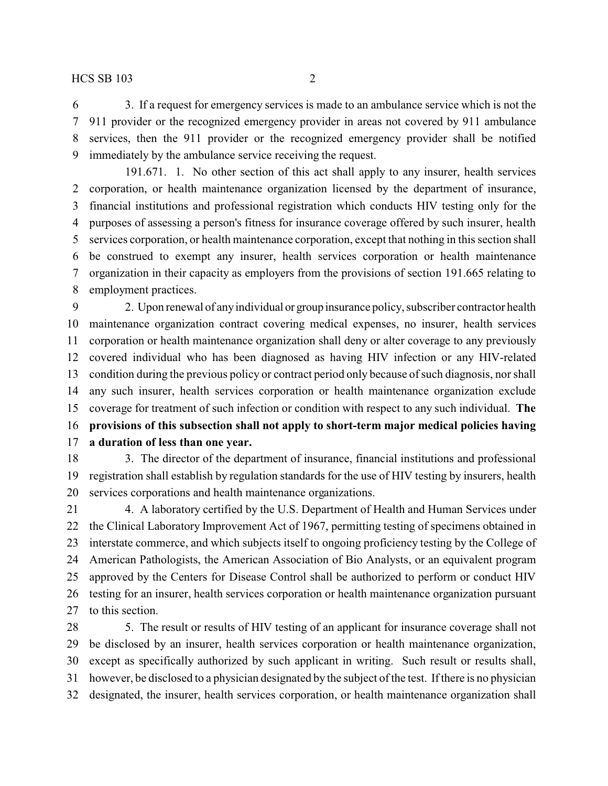3. If a request for emergency services is made to an ambulance service which is not the 911 provider or the recognized emergency provider in areas not covered by 911 ambulance services, then the 911 provider or the recognized emergency provider shall be notified immediately by the ambulance service receiving the request.

191.671. 1. No other section of this act shall apply to any insurer, health services corporation, or health maintenance organization licensed by the department of insurance, financial institutions and professional registration which conducts HIV testing only for the purposes of assessing a person's fitness for insurance coverage offered by such insurer, health services corporation, or health maintenance corporation, except that nothing in this section shall be construed to exempt any insurer, health services corporation or health maintenance organization in their capacity as employers from the provisions of section 191.665 relating to employment practices.

 2. Upon renewal of anyindividual or group insurance policy, subscriber contractor health maintenance organization contract covering medical expenses, no insurer, health services corporation or health maintenance organization shall deny or alter coverage to any previously covered individual who has been diagnosed as having HIV infection or any HIV-related condition during the previous policy or contract period only because of such diagnosis, nor shall any such insurer, health services corporation or health maintenance organization exclude coverage for treatment of such infection or condition with respect to any such individual. **The provisions of this subsection shall not apply to short-term major medical policies having a duration of less than one year.**

 3. The director of the department of insurance, financial institutions and professional registration shall establish by regulation standards for the use of HIV testing by insurers, health services corporations and health maintenance organizations.

 4. A laboratory certified by the U.S. Department of Health and Human Services under the Clinical Laboratory Improvement Act of 1967, permitting testing of specimens obtained in interstate commerce, and which subjects itself to ongoing proficiency testing by the College of American Pathologists, the American Association of Bio Analysts, or an equivalent program approved by the Centers for Disease Control shall be authorized to perform or conduct HIV testing for an insurer, health services corporation or health maintenance organization pursuant to this section.

28 5. The result or results of HIV testing of an applicant for insurance coverage shall not be disclosed by an insurer, health services corporation or health maintenance organization, except as specifically authorized by such applicant in writing. Such result or results shall, however, be disclosed to a physician designated by the subject of the test. Ifthere is no physician designated, the insurer, health services corporation, or health maintenance organization shall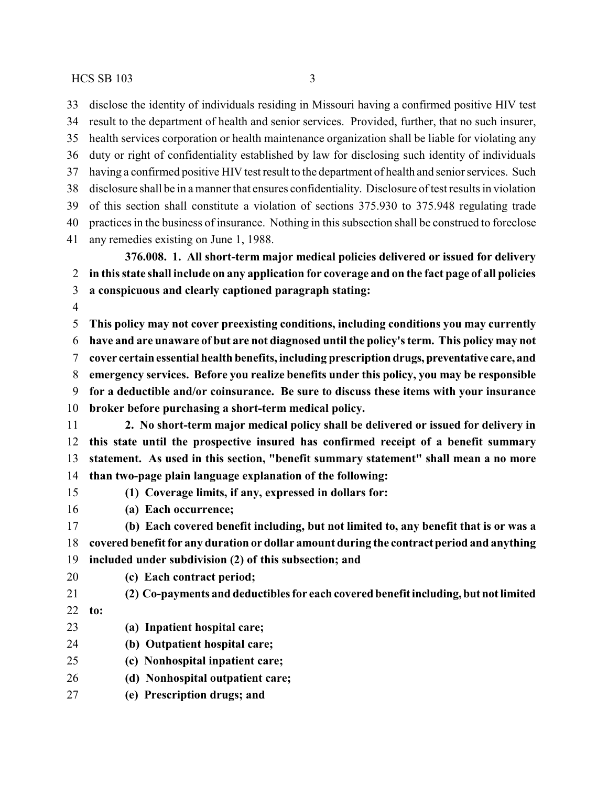#### $HCS$  SB 103  $\overline{3}$

 disclose the identity of individuals residing in Missouri having a confirmed positive HIV test result to the department of health and senior services. Provided, further, that no such insurer, health services corporation or health maintenance organization shall be liable for violating any duty or right of confidentiality established by law for disclosing such identity of individuals having a confirmed positive HIV test result to the department of health and senior services. Such disclosure shall be in a manner that ensures confidentiality. Disclosure of test results in violation of this section shall constitute a violation of sections 375.930 to 375.948 regulating trade practices in the business of insurance. Nothing in this subsection shall be construed to foreclose any remedies existing on June 1, 1988. **376.008. 1. All short-term major medical policies delivered or issued for delivery in this state shall include on any application for coverage and on the fact page of all policies a conspicuous and clearly captioned paragraph stating: This policy may not cover preexisting conditions, including conditions you may currently have and are unaware of but are not diagnosed until the policy's term. This policy may not cover certain essential health benefits, including prescription drugs, preventative care, and emergency services. Before you realize benefits under this policy, you may be responsible for a deductible and/or coinsurance. Be sure to discuss these items with your insurance broker before purchasing a short-term medical policy. 2. No short-term major medical policy shall be delivered or issued for delivery in this state until the prospective insured has confirmed receipt of a benefit summary statement. As used in this section, "benefit summary statement" shall mean a no more than two-page plain language explanation of the following: (1) Coverage limits, if any, expressed in dollars for: (a) Each occurrence; (b) Each covered benefit including, but not limited to, any benefit that is or was a covered benefit for any duration or dollar amount during the contract period and anything included under subdivision (2) of this subsection; and (c) Each contract period; (2) Co-payments and deductibles for each covered benefitincluding, butnot limited to: (a) Inpatient hospital care; (b) Outpatient hospital care; (c) Nonhospital inpatient care; (d) Nonhospital outpatient care; (e) Prescription drugs; and**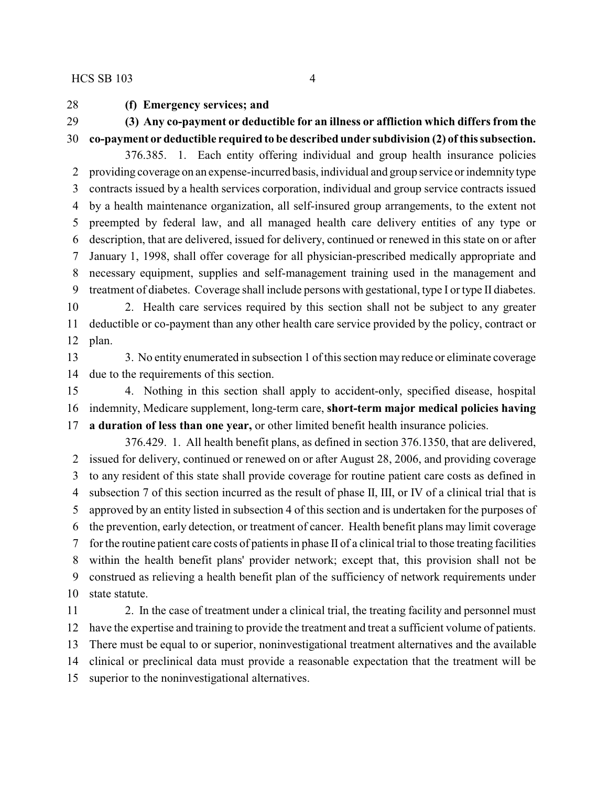**(f) Emergency services; and**

## **(3) Any co-payment or deductible for an illness or affliction which differs from the co-payment or deductible required to be described under subdivision (2) ofthis subsection.**

376.385. 1. Each entity offering individual and group health insurance policies providing coverage on an expense-incurred basis, individual and group service or indemnitytype contracts issued by a health services corporation, individual and group service contracts issued by a health maintenance organization, all self-insured group arrangements, to the extent not preempted by federal law, and all managed health care delivery entities of any type or description, that are delivered, issued for delivery, continued or renewed in this state on or after January 1, 1998, shall offer coverage for all physician-prescribed medically appropriate and necessary equipment, supplies and self-management training used in the management and treatment of diabetes. Coverage shall include persons with gestational, type I or type II diabetes.

 2. Health care services required by this section shall not be subject to any greater deductible or co-payment than any other health care service provided by the policy, contract or plan.

13 3. No entity enumerated in subsection 1 of this section may reduce or eliminate coverage due to the requirements of this section.

 4. Nothing in this section shall apply to accident-only, specified disease, hospital indemnity, Medicare supplement, long-term care, **short-term major medical policies having a duration of less than one year,** or other limited benefit health insurance policies.

376.429. 1. All health benefit plans, as defined in section 376.1350, that are delivered, issued for delivery, continued or renewed on or after August 28, 2006, and providing coverage to any resident of this state shall provide coverage for routine patient care costs as defined in subsection 7 of this section incurred as the result of phase II, III, or IV of a clinical trial that is approved by an entity listed in subsection 4 of this section and is undertaken for the purposes of the prevention, early detection, or treatment of cancer. Health benefit plans may limit coverage for the routine patient care costs of patients in phase II of a clinical trial to those treating facilities within the health benefit plans' provider network; except that, this provision shall not be construed as relieving a health benefit plan of the sufficiency of network requirements under state statute.

 2. In the case of treatment under a clinical trial, the treating facility and personnel must have the expertise and training to provide the treatment and treat a sufficient volume of patients. There must be equal to or superior, noninvestigational treatment alternatives and the available clinical or preclinical data must provide a reasonable expectation that the treatment will be superior to the noninvestigational alternatives.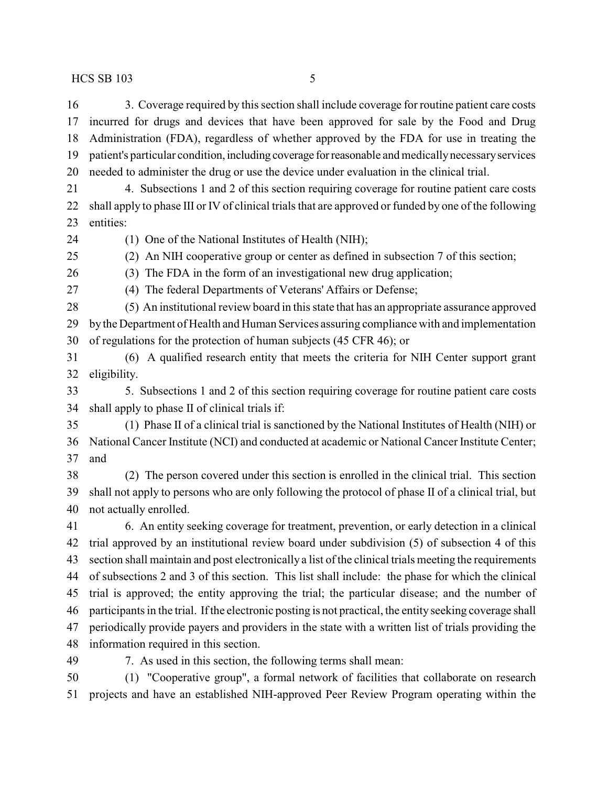3. Coverage required by this section shall include coverage for routine patient care costs incurred for drugs and devices that have been approved for sale by the Food and Drug Administration (FDA), regardless of whether approved by the FDA for use in treating the patient's particular condition,including coverage forreasonable and medicallynecessaryservices needed to administer the drug or use the device under evaluation in the clinical trial.

- 4. Subsections 1 and 2 of this section requiring coverage for routine patient care costs shall apply to phase III or IV of clinical trials that are approved or funded by one of the following entities:
- 
- (1) One of the National Institutes of Health (NIH);

(2) An NIH cooperative group or center as defined in subsection 7 of this section;

(3) The FDA in the form of an investigational new drug application;

(4) The federal Departments of Veterans' Affairs or Defense;

 (5) An institutional review board in this state that has an appropriate assurance approved by the Department of Health and Human Services assuring compliance with and implementation of regulations for the protection of human subjects (45 CFR 46); or

 (6) A qualified research entity that meets the criteria for NIH Center support grant eligibility.

 5. Subsections 1 and 2 of this section requiring coverage for routine patient care costs shall apply to phase II of clinical trials if:

 (1) Phase II of a clinical trial is sanctioned by the National Institutes of Health (NIH) or National Cancer Institute (NCI) and conducted at academic or National Cancer Institute Center; and

 (2) The person covered under this section is enrolled in the clinical trial. This section shall not apply to persons who are only following the protocol of phase II of a clinical trial, but not actually enrolled.

 6. An entity seeking coverage for treatment, prevention, or early detection in a clinical trial approved by an institutional review board under subdivision (5) of subsection 4 of this section shall maintain and post electronically a list of the clinical trials meeting the requirements of subsections 2 and 3 of this section. This list shall include: the phase for which the clinical trial is approved; the entity approving the trial; the particular disease; and the number of participants in the trial. If the electronic posting is not practical, the entity seeking coverage shall periodically provide payers and providers in the state with a written list of trials providing the information required in this section.

7. As used in this section, the following terms shall mean:

 (1) "Cooperative group", a formal network of facilities that collaborate on research projects and have an established NIH-approved Peer Review Program operating within the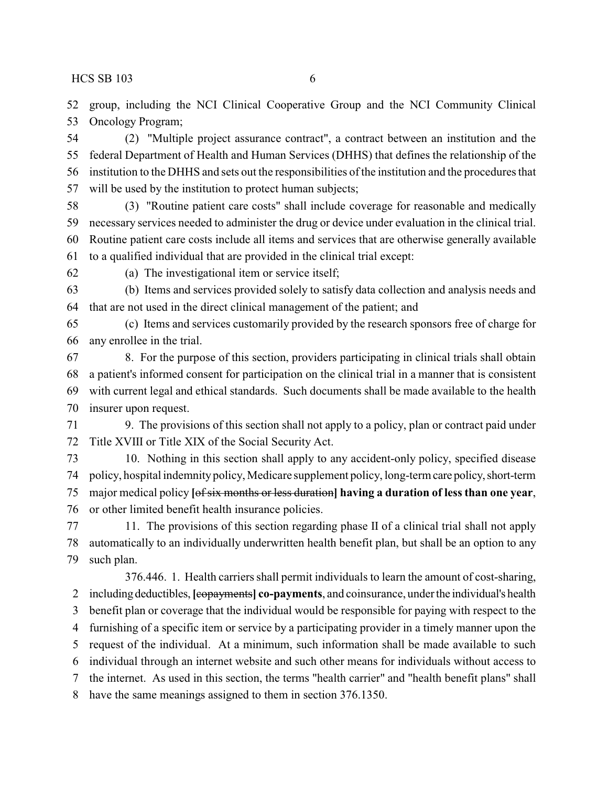group, including the NCI Clinical Cooperative Group and the NCI Community Clinical Oncology Program;

 (2) "Multiple project assurance contract", a contract between an institution and the federal Department of Health and Human Services (DHHS) that defines the relationship of the institution to the DHHS and sets out the responsibilities of the institution and the procedures that will be used by the institution to protect human subjects;

- (3) "Routine patient care costs" shall include coverage for reasonable and medically necessary services needed to administer the drug or device under evaluation in the clinical trial. Routine patient care costs include all items and services that are otherwise generally available to a qualified individual that are provided in the clinical trial except:
- 

(a) The investigational item or service itself;

 (b) Items and services provided solely to satisfy data collection and analysis needs and that are not used in the direct clinical management of the patient; and

 (c) Items and services customarily provided by the research sponsors free of charge for any enrollee in the trial.

 8. For the purpose of this section, providers participating in clinical trials shall obtain a patient's informed consent for participation on the clinical trial in a manner that is consistent with current legal and ethical standards. Such documents shall be made available to the health insurer upon request.

 9. The provisions of this section shall not apply to a policy, plan or contract paid under Title XVIII or Title XIX of the Social Security Act.

 10. Nothing in this section shall apply to any accident-only policy, specified disease 74 policy, hospital indemnity policy, Medicare supplement policy, long-term care policy, short-term major medical policy **[**of six months or less duration**] having a duration of less than one year**, or other limited benefit health insurance policies.

 11. The provisions of this section regarding phase II of a clinical trial shall not apply automatically to an individually underwritten health benefit plan, but shall be an option to any such plan.

376.446. 1. Health carriers shall permit individuals to learn the amount of cost-sharing, including deductibles,**[**copayments**] co-payments**, and coinsurance, underthe individual's health benefit plan or coverage that the individual would be responsible for paying with respect to the furnishing of a specific item or service by a participating provider in a timely manner upon the request of the individual. At a minimum, such information shall be made available to such individual through an internet website and such other means for individuals without access to the internet. As used in this section, the terms "health carrier" and "health benefit plans" shall have the same meanings assigned to them in section 376.1350.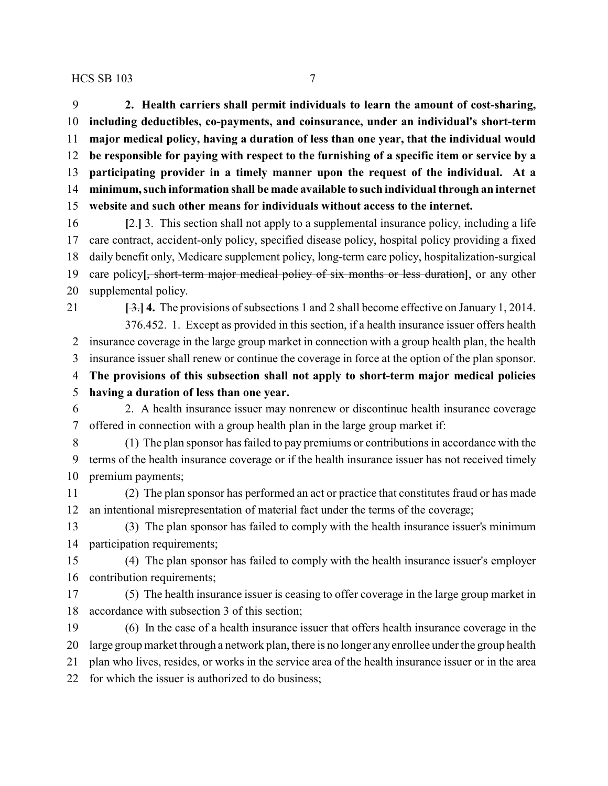**2. Health carriers shall permit individuals to learn the amount of cost-sharing, including deductibles, co-payments, and coinsurance, under an individual's short-term major medical policy, having a duration of less than one year, that the individual would be responsible for paying with respect to the furnishing of a specific item or service by a participating provider in a timely manner upon the request of the individual. At a minimum, such information shall be made available to such individual through an internet website and such other means for individuals without access to the internet.**

 **[**2.**]** 3. This section shall not apply to a supplemental insurance policy, including a life care contract, accident-only policy, specified disease policy, hospital policy providing a fixed daily benefit only, Medicare supplement policy, long-term care policy, hospitalization-surgical care policy**[**, short-term major medical policy of six months or less duration**]**, or any other supplemental policy.

**[** 3.**] 4.** The provisions of subsections 1 and 2 shall become effective on January 1, 2014.

376.452. 1. Except as provided in this section, if a health insurance issuer offers health insurance coverage in the large group market in connection with a group health plan, the health

insurance issuer shall renew or continue the coverage in force at the option of the plan sponsor.

 **The provisions of this subsection shall not apply to short-term major medical policies having a duration of less than one year.**

 2. A health insurance issuer may nonrenew or discontinue health insurance coverage offered in connection with a group health plan in the large group market if:

 (1) The plan sponsor has failed to pay premiums or contributions in accordance with the terms of the health insurance coverage or if the health insurance issuer has not received timely premium payments;

 (2) The plan sponsor has performed an act or practice that constitutes fraud or has made an intentional misrepresentation of material fact under the terms of the coverage;

 (3) The plan sponsor has failed to comply with the health insurance issuer's minimum participation requirements;

 (4) The plan sponsor has failed to comply with the health insurance issuer's employer contribution requirements;

 (5) The health insurance issuer is ceasing to offer coverage in the large group market in accordance with subsection 3 of this section;

 (6) In the case of a health insurance issuer that offers health insurance coverage in the large group market through a network plan, there is no longer any enrollee under the group health plan who lives, resides, or works in the service area of the health insurance issuer or in the area for which the issuer is authorized to do business;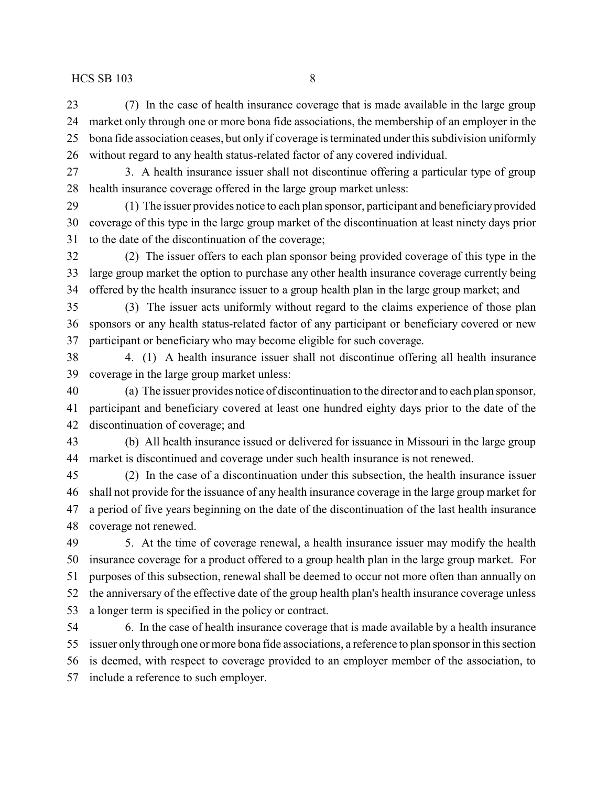(7) In the case of health insurance coverage that is made available in the large group market only through one or more bona fide associations, the membership of an employer in the bona fide association ceases, but only if coverage is terminated under this subdivision uniformly without regard to any health status-related factor of any covered individual.

 3. A health insurance issuer shall not discontinue offering a particular type of group health insurance coverage offered in the large group market unless:

 (1) The issuer provides notice to each plan sponsor, participant and beneficiaryprovided coverage of this type in the large group market of the discontinuation at least ninety days prior to the date of the discontinuation of the coverage;

 (2) The issuer offers to each plan sponsor being provided coverage of this type in the large group market the option to purchase any other health insurance coverage currently being offered by the health insurance issuer to a group health plan in the large group market; and

 (3) The issuer acts uniformly without regard to the claims experience of those plan sponsors or any health status-related factor of any participant or beneficiary covered or new participant or beneficiary who may become eligible for such coverage.

 4. (1) A health insurance issuer shall not discontinue offering all health insurance coverage in the large group market unless:

 (a) The issuer provides notice of discontinuation to the director and to each plan sponsor, participant and beneficiary covered at least one hundred eighty days prior to the date of the discontinuation of coverage; and

 (b) All health insurance issued or delivered for issuance in Missouri in the large group market is discontinued and coverage under such health insurance is not renewed.

 (2) In the case of a discontinuation under this subsection, the health insurance issuer shall not provide for the issuance of any health insurance coverage in the large group market for a period of five years beginning on the date of the discontinuation of the last health insurance coverage not renewed.

 5. At the time of coverage renewal, a health insurance issuer may modify the health insurance coverage for a product offered to a group health plan in the large group market. For purposes of this subsection, renewal shall be deemed to occur not more often than annually on the anniversary of the effective date of the group health plan's health insurance coverage unless a longer term is specified in the policy or contract.

 6. In the case of health insurance coverage that is made available by a health insurance issuer only through one or more bona fide associations, a reference to plan sponsor in this section is deemed, with respect to coverage provided to an employer member of the association, to include a reference to such employer.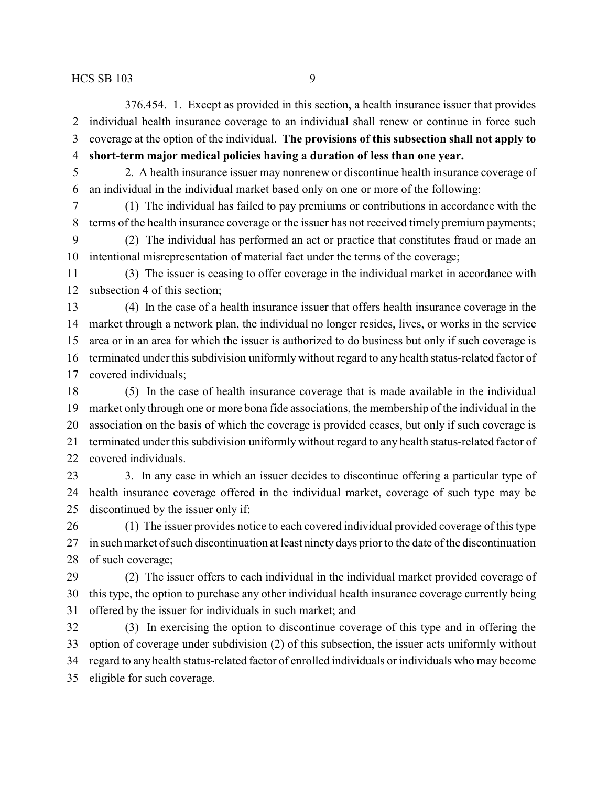376.454. 1. Except as provided in this section, a health insurance issuer that provides individual health insurance coverage to an individual shall renew or continue in force such coverage at the option of the individual. **The provisions of this subsection shall not apply to short-term major medical policies having a duration of less than one year.**

 2. A health insurance issuer may nonrenew or discontinue health insurance coverage of an individual in the individual market based only on one or more of the following:

 (1) The individual has failed to pay premiums or contributions in accordance with the terms of the health insurance coverage or the issuer has not received timely premium payments;

 (2) The individual has performed an act or practice that constitutes fraud or made an intentional misrepresentation of material fact under the terms of the coverage;

 (3) The issuer is ceasing to offer coverage in the individual market in accordance with subsection 4 of this section;

 (4) In the case of a health insurance issuer that offers health insurance coverage in the market through a network plan, the individual no longer resides, lives, or works in the service area or in an area for which the issuer is authorized to do business but only if such coverage is terminated under this subdivision uniformly without regard to any health status-related factor of covered individuals;

 (5) In the case of health insurance coverage that is made available in the individual market only through one or more bona fide associations, the membership of the individual in the association on the basis of which the coverage is provided ceases, but only if such coverage is terminated under this subdivision uniformly without regard to any health status-related factor of covered individuals.

 3. In any case in which an issuer decides to discontinue offering a particular type of health insurance coverage offered in the individual market, coverage of such type may be discontinued by the issuer only if:

 (1) The issuer provides notice to each covered individual provided coverage of this type in such market of such discontinuation at least ninety days prior to the date of the discontinuation of such coverage;

 (2) The issuer offers to each individual in the individual market provided coverage of this type, the option to purchase any other individual health insurance coverage currently being offered by the issuer for individuals in such market; and

 (3) In exercising the option to discontinue coverage of this type and in offering the option of coverage under subdivision (2) of this subsection, the issuer acts uniformly without regard to any health status-related factor of enrolled individuals or individuals who may become eligible for such coverage.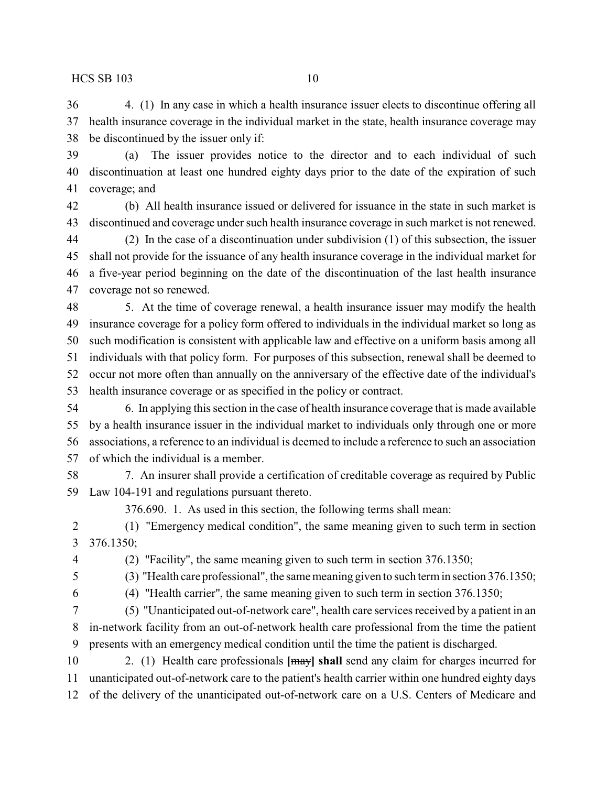4. (1) In any case in which a health insurance issuer elects to discontinue offering all health insurance coverage in the individual market in the state, health insurance coverage may be discontinued by the issuer only if:

 (a) The issuer provides notice to the director and to each individual of such discontinuation at least one hundred eighty days prior to the date of the expiration of such coverage; and

 (b) All health insurance issued or delivered for issuance in the state in such market is discontinued and coverage under such health insurance coverage in such market is not renewed.

 (2) In the case of a discontinuation under subdivision (1) of this subsection, the issuer shall not provide for the issuance of any health insurance coverage in the individual market for a five-year period beginning on the date of the discontinuation of the last health insurance coverage not so renewed.

 5. At the time of coverage renewal, a health insurance issuer may modify the health insurance coverage for a policy form offered to individuals in the individual market so long as such modification is consistent with applicable law and effective on a uniform basis among all individuals with that policy form. For purposes of this subsection, renewal shall be deemed to occur not more often than annually on the anniversary of the effective date of the individual's health insurance coverage or as specified in the policy or contract.

 6. In applying this section in the case of health insurance coverage that is made available by a health insurance issuer in the individual market to individuals only through one or more associations, a reference to an individual is deemed to include a reference to such an association of which the individual is a member.

 7. An insurer shall provide a certification of creditable coverage as required by Public Law 104-191 and regulations pursuant thereto.

376.690. 1. As used in this section, the following terms shall mean:

 (1) "Emergency medical condition", the same meaning given to such term in section 376.1350;

- 
- (2) "Facility", the same meaning given to such term in section 376.1350;
- (3) "Health care professional", the same meaning given to such term in section 376.1350;
- 

(4) "Health carrier", the same meaning given to such term in section 376.1350;

 (5) "Unanticipated out-of-network care", health care services received by a patient in an in-network facility from an out-of-network health care professional from the time the patient presents with an emergency medical condition until the time the patient is discharged.

 2. (1) Health care professionals **[**may**] shall** send any claim for charges incurred for unanticipated out-of-network care to the patient's health carrier within one hundred eighty days of the delivery of the unanticipated out-of-network care on a U.S. Centers of Medicare and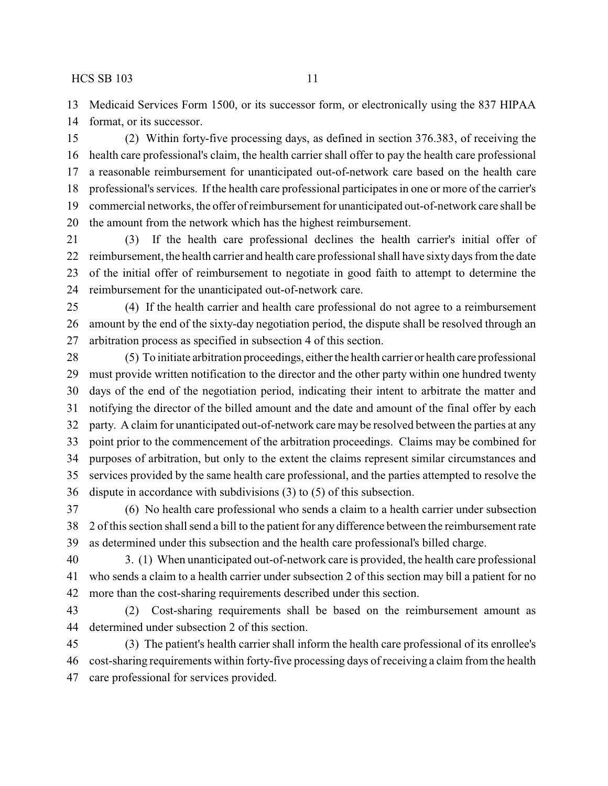Medicaid Services Form 1500, or its successor form, or electronically using the 837 HIPAA format, or its successor.

 (2) Within forty-five processing days, as defined in section 376.383, of receiving the health care professional's claim, the health carrier shall offer to pay the health care professional a reasonable reimbursement for unanticipated out-of-network care based on the health care professional's services. If the health care professional participates in one or more of the carrier's commercial networks, the offer of reimbursement for unanticipated out-of-network care shall be the amount from the network which has the highest reimbursement.

 (3) If the health care professional declines the health carrier's initial offer of reimbursement, the health carrier and health care professional shall have sixty days from the date of the initial offer of reimbursement to negotiate in good faith to attempt to determine the reimbursement for the unanticipated out-of-network care.

 (4) If the health carrier and health care professional do not agree to a reimbursement amount by the end of the sixty-day negotiation period, the dispute shall be resolved through an arbitration process as specified in subsection 4 of this section.

 (5) To initiate arbitration proceedings, either the health carrier or health care professional must provide written notification to the director and the other party within one hundred twenty days of the end of the negotiation period, indicating their intent to arbitrate the matter and notifying the director of the billed amount and the date and amount of the final offer by each party. A claim for unanticipated out-of-network care may be resolved between the parties at any point prior to the commencement of the arbitration proceedings. Claims may be combined for purposes of arbitration, but only to the extent the claims represent similar circumstances and services provided by the same health care professional, and the parties attempted to resolve the dispute in accordance with subdivisions (3) to (5) of this subsection.

 (6) No health care professional who sends a claim to a health carrier under subsection 2 of this section shall send a bill to the patient for any difference between the reimbursement rate as determined under this subsection and the health care professional's billed charge.

 3. (1) When unanticipated out-of-network care is provided, the health care professional who sends a claim to a health carrier under subsection 2 of this section may bill a patient for no more than the cost-sharing requirements described under this section.

 (2) Cost-sharing requirements shall be based on the reimbursement amount as determined under subsection 2 of this section.

 (3) The patient's health carrier shall inform the health care professional of its enrollee's cost-sharing requirements within forty-five processing days of receiving a claim from the health care professional for services provided.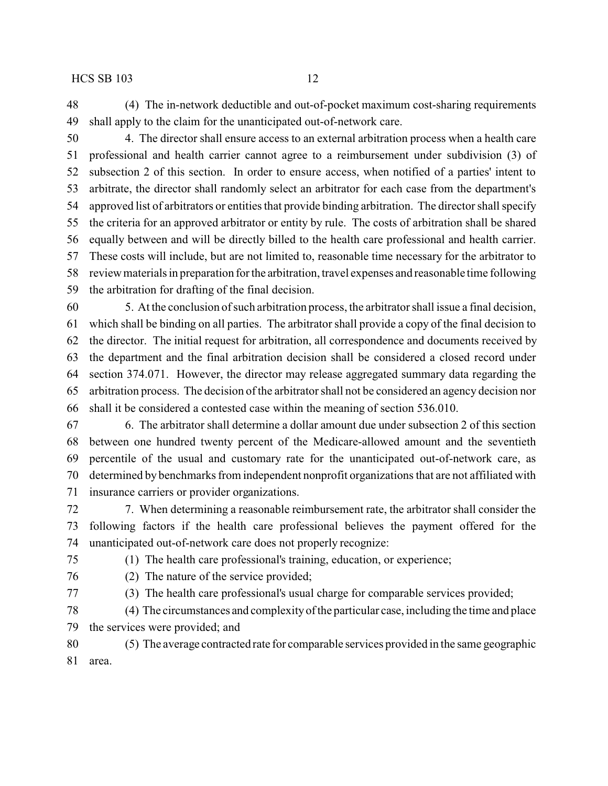(4) The in-network deductible and out-of-pocket maximum cost-sharing requirements shall apply to the claim for the unanticipated out-of-network care.

 4. The director shall ensure access to an external arbitration process when a health care professional and health carrier cannot agree to a reimbursement under subdivision (3) of subsection 2 of this section. In order to ensure access, when notified of a parties' intent to arbitrate, the director shall randomly select an arbitrator for each case from the department's approved list of arbitrators or entities that provide binding arbitration. The director shall specify the criteria for an approved arbitrator or entity by rule. The costs of arbitration shall be shared equally between and will be directly billed to the health care professional and health carrier. These costs will include, but are not limited to, reasonable time necessary for the arbitrator to review materials in preparation for the arbitration, travel expenses and reasonable time following the arbitration for drafting of the final decision.

 5. At the conclusion of such arbitration process, the arbitrator shall issue a final decision, which shall be binding on all parties. The arbitrator shall provide a copy of the final decision to the director. The initial request for arbitration, all correspondence and documents received by the department and the final arbitration decision shall be considered a closed record under section 374.071. However, the director may release aggregated summary data regarding the arbitration process. The decision of the arbitrator shall not be considered an agency decision nor shall it be considered a contested case within the meaning of section 536.010.

 6. The arbitrator shall determine a dollar amount due under subsection 2 of this section between one hundred twenty percent of the Medicare-allowed amount and the seventieth percentile of the usual and customary rate for the unanticipated out-of-network care, as determined by benchmarks from independent nonprofit organizations that are not affiliated with insurance carriers or provider organizations.

 7. When determining a reasonable reimbursement rate, the arbitrator shall consider the following factors if the health care professional believes the payment offered for the unanticipated out-of-network care does not properly recognize:

(1) The health care professional's training, education, or experience;

(2) The nature of the service provided;

(3) The health care professional's usual charge for comparable services provided;

 (4) The circumstances and complexityof the particular case, including the time and place the services were provided; and

 (5) The average contracted rate for comparable services provided in the same geographic area.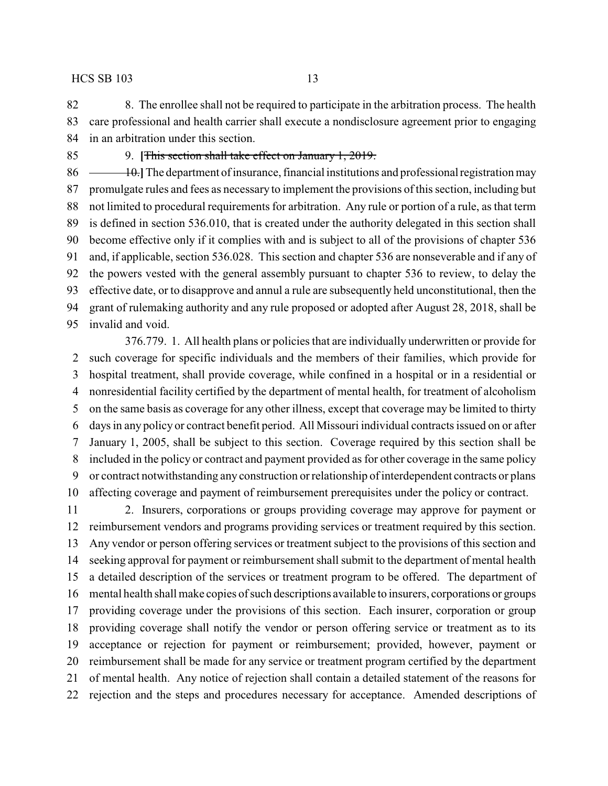8. The enrollee shall not be required to participate in the arbitration process. The health care professional and health carrier shall execute a nondisclosure agreement prior to engaging in an arbitration under this section.

### 9. **[**This section shall take effect on January 1, 2019.

**- 10.**] The department of insurance, financial institutions and professional registration may promulgate rules and fees as necessary to implement the provisions of this section, including but not limited to procedural requirements for arbitration. Any rule or portion of a rule, as that term is defined in section 536.010, that is created under the authority delegated in this section shall become effective only if it complies with and is subject to all of the provisions of chapter 536 and, if applicable, section 536.028. This section and chapter 536 are nonseverable and if any of the powers vested with the general assembly pursuant to chapter 536 to review, to delay the effective date, or to disapprove and annul a rule are subsequently held unconstitutional, then the grant of rulemaking authority and any rule proposed or adopted after August 28, 2018, shall be invalid and void.

376.779. 1. All health plans or policies that are individually underwritten or provide for such coverage for specific individuals and the members of their families, which provide for hospital treatment, shall provide coverage, while confined in a hospital or in a residential or nonresidential facility certified by the department of mental health, for treatment of alcoholism on the same basis as coverage for any other illness, except that coverage may be limited to thirty days in any policy or contract benefit period. All Missouri individual contracts issued on or after January 1, 2005, shall be subject to this section. Coverage required by this section shall be included in the policy or contract and payment provided as for other coverage in the same policy or contract notwithstanding any construction or relationship ofinterdependent contracts or plans affecting coverage and payment of reimbursement prerequisites under the policy or contract.

 2. Insurers, corporations or groups providing coverage may approve for payment or reimbursement vendors and programs providing services or treatment required by this section. Any vendor or person offering services or treatment subject to the provisions of this section and seeking approval for payment or reimbursement shall submit to the department of mental health a detailed description of the services or treatment program to be offered. The department of mental health shall make copies of such descriptions available to insurers, corporations or groups providing coverage under the provisions of this section. Each insurer, corporation or group providing coverage shall notify the vendor or person offering service or treatment as to its acceptance or rejection for payment or reimbursement; provided, however, payment or reimbursement shall be made for any service or treatment program certified by the department of mental health. Any notice of rejection shall contain a detailed statement of the reasons for rejection and the steps and procedures necessary for acceptance. Amended descriptions of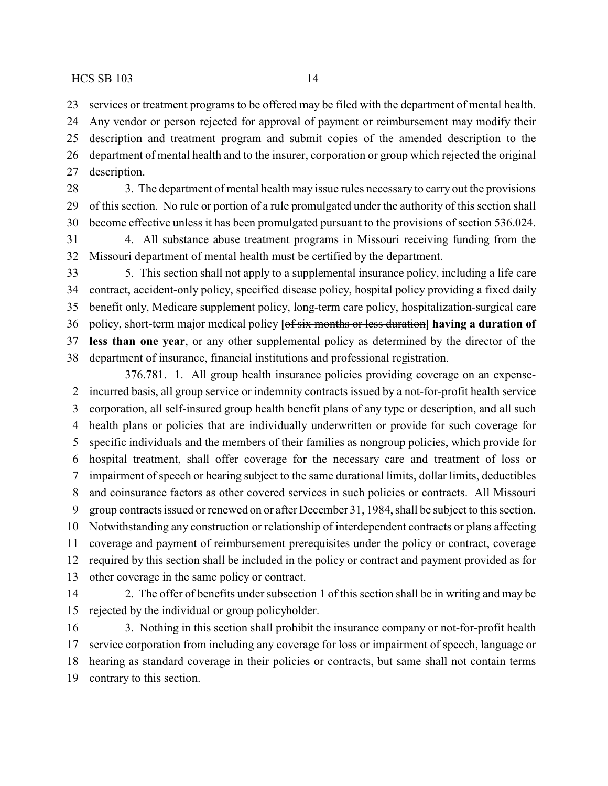services or treatment programs to be offered may be filed with the department of mental health.

 Any vendor or person rejected for approval of payment or reimbursement may modify their description and treatment program and submit copies of the amended description to the department of mental health and to the insurer, corporation or group which rejected the original description.

- 28 3. The department of mental health may issue rules necessary to carry out the provisions of this section. No rule or portion of a rule promulgated under the authority of this section shall become effective unless it has been promulgated pursuant to the provisions of section 536.024.
- 4. All substance abuse treatment programs in Missouri receiving funding from the Missouri department of mental health must be certified by the department.
- 5. This section shall not apply to a supplemental insurance policy, including a life care contract, accident-only policy, specified disease policy, hospital policy providing a fixed daily benefit only, Medicare supplement policy, long-term care policy, hospitalization-surgical care policy, short-term major medical policy **[**of six months or less duration**] having a duration of less than one year**, or any other supplemental policy as determined by the director of the department of insurance, financial institutions and professional registration.
- 376.781. 1. All group health insurance policies providing coverage on an expense- incurred basis, all group service or indemnity contracts issued by a not-for-profit health service corporation, all self-insured group health benefit plans of any type or description, and all such health plans or policies that are individually underwritten or provide for such coverage for specific individuals and the members of their families as nongroup policies, which provide for hospital treatment, shall offer coverage for the necessary care and treatment of loss or impairment of speech or hearing subject to the same durational limits, dollar limits, deductibles and coinsurance factors as other covered services in such policies or contracts. All Missouri group contracts issued or renewed on or after December 31, 1984, shall be subject to this section. Notwithstanding any construction or relationship of interdependent contracts or plans affecting coverage and payment of reimbursement prerequisites under the policy or contract, coverage required by this section shall be included in the policy or contract and payment provided as for other coverage in the same policy or contract.
- 14 2. The offer of benefits under subsection 1 of this section shall be in writing and may be rejected by the individual or group policyholder.
- 3. Nothing in this section shall prohibit the insurance company or not-for-profit health service corporation from including any coverage for loss or impairment of speech, language or hearing as standard coverage in their policies or contracts, but same shall not contain terms contrary to this section.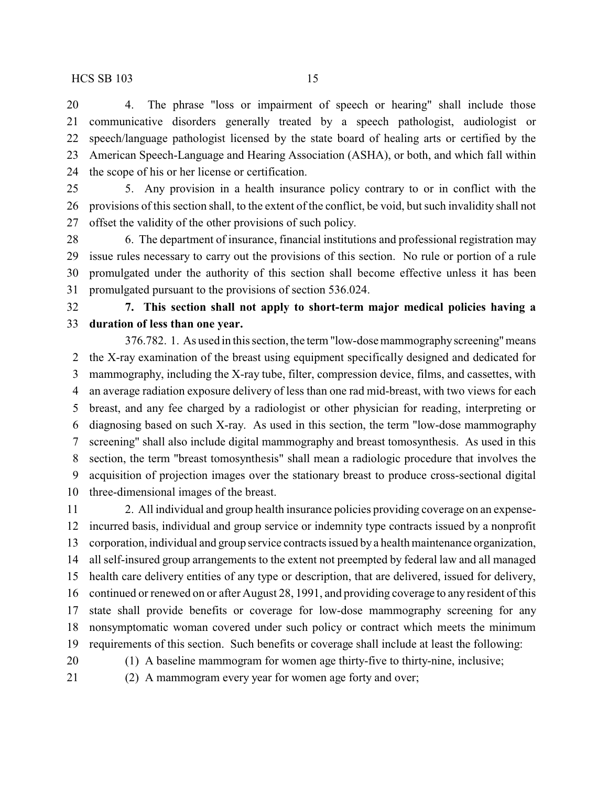4. The phrase "loss or impairment of speech or hearing" shall include those communicative disorders generally treated by a speech pathologist, audiologist or speech/language pathologist licensed by the state board of healing arts or certified by the American Speech-Language and Hearing Association (ASHA), or both, and which fall within the scope of his or her license or certification.

 5. Any provision in a health insurance policy contrary to or in conflict with the provisions of this section shall, to the extent of the conflict, be void, but such invalidity shall not offset the validity of the other provisions of such policy.

 6. The department of insurance, financial institutions and professional registration may issue rules necessary to carry out the provisions of this section. No rule or portion of a rule promulgated under the authority of this section shall become effective unless it has been promulgated pursuant to the provisions of section 536.024.

## **7. This section shall not apply to short-term major medical policies having a duration of less than one year.**

376.782. 1. As used in this section, the term "low-dose mammographyscreening"means the X-ray examination of the breast using equipment specifically designed and dedicated for mammography, including the X-ray tube, filter, compression device, films, and cassettes, with an average radiation exposure delivery of less than one rad mid-breast, with two views for each breast, and any fee charged by a radiologist or other physician for reading, interpreting or diagnosing based on such X-ray. As used in this section, the term "low-dose mammography screening" shall also include digital mammography and breast tomosynthesis. As used in this section, the term "breast tomosynthesis" shall mean a radiologic procedure that involves the acquisition of projection images over the stationary breast to produce cross-sectional digital three-dimensional images of the breast.

 2. All individual and group health insurance policies providing coverage on an expense- incurred basis, individual and group service or indemnity type contracts issued by a nonprofit corporation, individual and group service contracts issued by a health maintenance organization, all self-insured group arrangements to the extent not preempted by federal law and all managed health care delivery entities of any type or description, that are delivered, issued for delivery, continued or renewed on or after August 28, 1991, and providing coverage to any resident of this state shall provide benefits or coverage for low-dose mammography screening for any nonsymptomatic woman covered under such policy or contract which meets the minimum requirements of this section. Such benefits or coverage shall include at least the following:

- 
- (1) A baseline mammogram for women age thirty-five to thirty-nine, inclusive;
- (2) A mammogram every year for women age forty and over;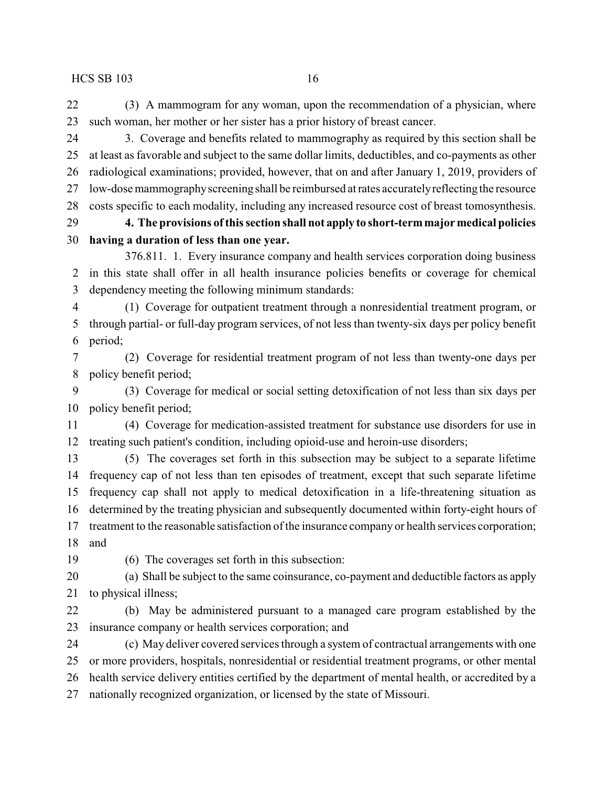(3) A mammogram for any woman, upon the recommendation of a physician, where such woman, her mother or her sister has a prior history of breast cancer.

 3. Coverage and benefits related to mammography as required by this section shall be at least as favorable and subject to the same dollar limits, deductibles, and co-payments as other radiological examinations; provided, however, that on and after January 1, 2019, providers of low-dose mammographyscreening shall be reimbursed at rates accuratelyreflecting the resource costs specific to each modality, including any increased resource cost of breast tomosynthesis.

## **4. The provisions ofthis section shall not apply to short-termmajor medical policies having a duration of less than one year.**

376.811. 1. Every insurance company and health services corporation doing business in this state shall offer in all health insurance policies benefits or coverage for chemical dependency meeting the following minimum standards:

 (1) Coverage for outpatient treatment through a nonresidential treatment program, or through partial- or full-day program services, of not less than twenty-six days per policy benefit period;

 (2) Coverage for residential treatment program of not less than twenty-one days per policy benefit period;

 (3) Coverage for medical or social setting detoxification of not less than six days per policy benefit period;

 (4) Coverage for medication-assisted treatment for substance use disorders for use in treating such patient's condition, including opioid-use and heroin-use disorders;

 (5) The coverages set forth in this subsection may be subject to a separate lifetime frequency cap of not less than ten episodes of treatment, except that such separate lifetime frequency cap shall not apply to medical detoxification in a life-threatening situation as determined by the treating physician and subsequently documented within forty-eight hours of treatment to the reasonable satisfaction of the insurance company or health services corporation; and

(6) The coverages set forth in this subsection:

 (a) Shall be subject to the same coinsurance, co-payment and deductible factors as apply to physical illness;

 (b) May be administered pursuant to a managed care program established by the insurance company or health services corporation; and

 (c) May deliver covered services through a system of contractual arrangements with one or more providers, hospitals, nonresidential or residential treatment programs, or other mental health service delivery entities certified by the department of mental health, or accredited by a nationally recognized organization, or licensed by the state of Missouri.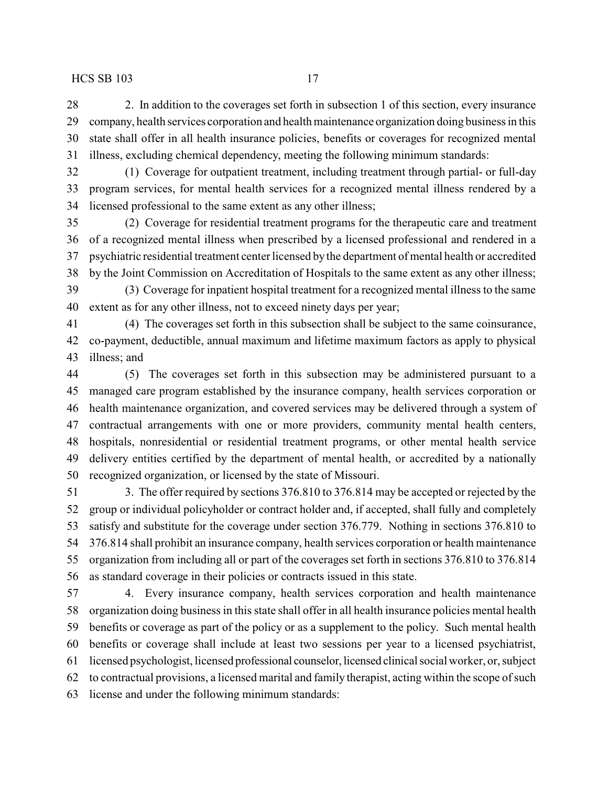2. In addition to the coverages set forth in subsection 1 of this section, every insurance company, health services corporation and health maintenance organization doing business in this state shall offer in all health insurance policies, benefits or coverages for recognized mental illness, excluding chemical dependency, meeting the following minimum standards:

 (1) Coverage for outpatient treatment, including treatment through partial- or full-day program services, for mental health services for a recognized mental illness rendered by a licensed professional to the same extent as any other illness;

 (2) Coverage for residential treatment programs for the therapeutic care and treatment of a recognized mental illness when prescribed by a licensed professional and rendered in a psychiatric residential treatment center licensed by the department of mental health or accredited by the Joint Commission on Accreditation of Hospitals to the same extent as any other illness;

 (3) Coverage for inpatient hospital treatment for a recognized mental illness to the same extent as for any other illness, not to exceed ninety days per year;

 (4) The coverages set forth in this subsection shall be subject to the same coinsurance, co-payment, deductible, annual maximum and lifetime maximum factors as apply to physical illness; and

 (5) The coverages set forth in this subsection may be administered pursuant to a managed care program established by the insurance company, health services corporation or health maintenance organization, and covered services may be delivered through a system of contractual arrangements with one or more providers, community mental health centers, hospitals, nonresidential or residential treatment programs, or other mental health service delivery entities certified by the department of mental health, or accredited by a nationally recognized organization, or licensed by the state of Missouri.

 3. The offer required by sections 376.810 to 376.814 may be accepted or rejected by the group or individual policyholder or contract holder and, if accepted, shall fully and completely satisfy and substitute for the coverage under section 376.779. Nothing in sections 376.810 to 376.814 shall prohibit an insurance company, health services corporation or health maintenance organization from including all or part of the coverages set forth in sections 376.810 to 376.814 as standard coverage in their policies or contracts issued in this state.

 4. Every insurance company, health services corporation and health maintenance organization doing business in this state shall offer in all health insurance policies mental health benefits or coverage as part of the policy or as a supplement to the policy. Such mental health benefits or coverage shall include at least two sessions per year to a licensed psychiatrist, licensed psychologist, licensed professional counselor, licensed clinical social worker, or, subject to contractual provisions, a licensed marital and family therapist, acting within the scope of such license and under the following minimum standards: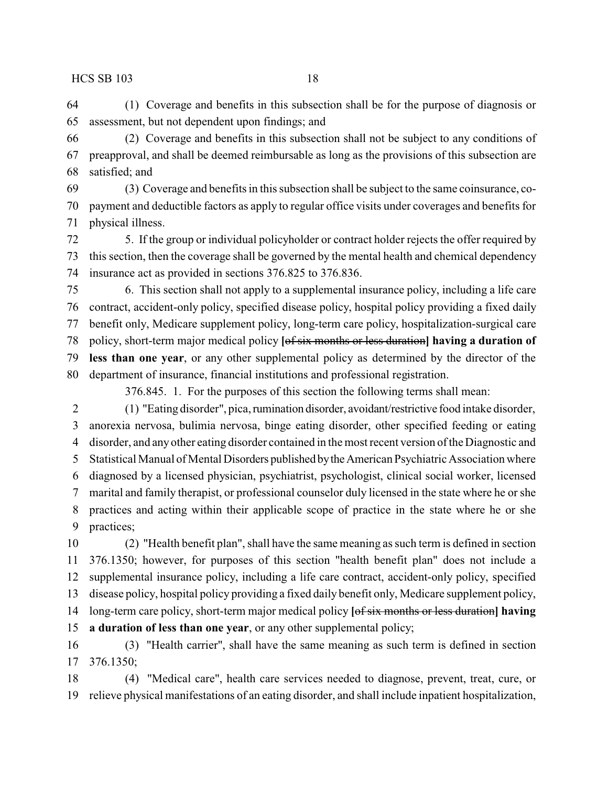(1) Coverage and benefits in this subsection shall be for the purpose of diagnosis or assessment, but not dependent upon findings; and

 (2) Coverage and benefits in this subsection shall not be subject to any conditions of preapproval, and shall be deemed reimbursable as long as the provisions of this subsection are satisfied; and

 (3) Coverage and benefits in this subsection shall be subject to the same coinsurance, co- payment and deductible factors as apply to regular office visits under coverages and benefits for physical illness.

 5. If the group or individual policyholder or contract holder rejects the offer required by this section, then the coverage shall be governed by the mental health and chemical dependency insurance act as provided in sections 376.825 to 376.836.

 6. This section shall not apply to a supplemental insurance policy, including a life care contract, accident-only policy, specified disease policy, hospital policy providing a fixed daily benefit only, Medicare supplement policy, long-term care policy, hospitalization-surgical care policy, short-term major medical policy **[**of six months or less duration**] having a duration of less than one year**, or any other supplemental policy as determined by the director of the department of insurance, financial institutions and professional registration.

376.845. 1. For the purposes of this section the following terms shall mean:

 (1) "Eating disorder", pica,rumination disorder, avoidant/restrictive food intake disorder, anorexia nervosa, bulimia nervosa, binge eating disorder, other specified feeding or eating disorder, and anyother eating disorder contained in the most recent version of the Diagnostic and Statistical Manual of Mental Disorders published bytheAmerican Psychiatric Association where diagnosed by a licensed physician, psychiatrist, psychologist, clinical social worker, licensed marital and family therapist, or professional counselor duly licensed in the state where he or she practices and acting within their applicable scope of practice in the state where he or she practices;

 (2) "Health benefit plan", shall have the same meaning as such term is defined in section 376.1350; however, for purposes of this section "health benefit plan" does not include a supplemental insurance policy, including a life care contract, accident-only policy, specified disease policy, hospital policy providing a fixed daily benefit only, Medicare supplement policy, long-term care policy, short-term major medical policy **[**of six months or less duration**] having a duration of less than one year**, or any other supplemental policy;

 (3) "Health carrier", shall have the same meaning as such term is defined in section 376.1350;

 (4) "Medical care", health care services needed to diagnose, prevent, treat, cure, or relieve physical manifestations of an eating disorder, and shall include inpatient hospitalization,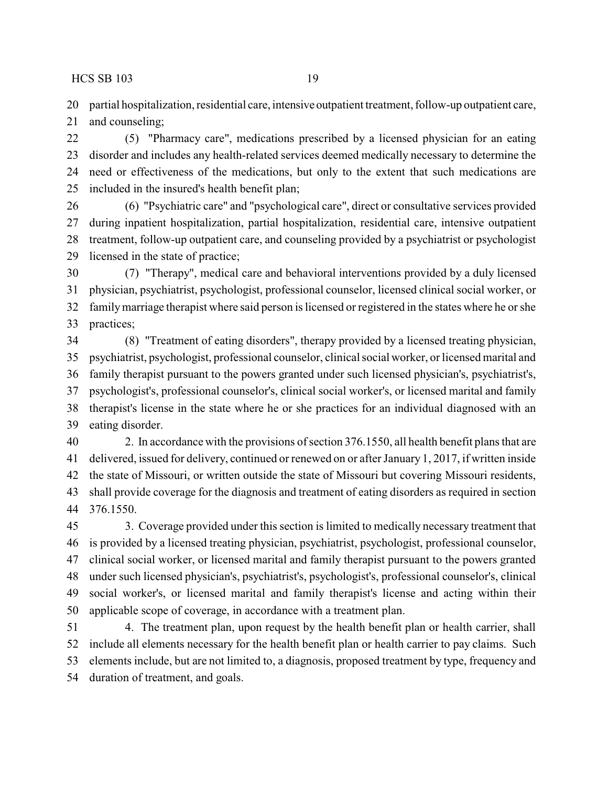partial hospitalization, residential care, intensive outpatient treatment, follow-up outpatient care,

and counseling;

 (5) "Pharmacy care", medications prescribed by a licensed physician for an eating disorder and includes any health-related services deemed medically necessary to determine the need or effectiveness of the medications, but only to the extent that such medications are included in the insured's health benefit plan;

 (6) "Psychiatric care" and "psychological care", direct or consultative services provided during inpatient hospitalization, partial hospitalization, residential care, intensive outpatient treatment, follow-up outpatient care, and counseling provided by a psychiatrist or psychologist licensed in the state of practice;

 (7) "Therapy", medical care and behavioral interventions provided by a duly licensed physician, psychiatrist, psychologist, professional counselor, licensed clinical social worker, or familymarriage therapist where said person is licensed or registered in the states where he or she practices;

 (8) "Treatment of eating disorders", therapy provided by a licensed treating physician, psychiatrist, psychologist, professional counselor, clinical social worker, or licensed marital and family therapist pursuant to the powers granted under such licensed physician's, psychiatrist's, psychologist's, professional counselor's, clinical social worker's, or licensed marital and family therapist's license in the state where he or she practices for an individual diagnosed with an eating disorder.

 2. In accordance with the provisions of section 376.1550, all health benefit plans that are delivered, issued for delivery, continued or renewed on or after January 1, 2017, if written inside the state of Missouri, or written outside the state of Missouri but covering Missouri residents, shall provide coverage for the diagnosis and treatment of eating disorders as required in section 376.1550.

 3. Coverage provided under this section is limited to medically necessary treatment that is provided by a licensed treating physician, psychiatrist, psychologist, professional counselor, clinical social worker, or licensed marital and family therapist pursuant to the powers granted under such licensed physician's, psychiatrist's, psychologist's, professional counselor's, clinical social worker's, or licensed marital and family therapist's license and acting within their applicable scope of coverage, in accordance with a treatment plan.

 4. The treatment plan, upon request by the health benefit plan or health carrier, shall include all elements necessary for the health benefit plan or health carrier to pay claims. Such elements include, but are not limited to, a diagnosis, proposed treatment by type, frequency and duration of treatment, and goals.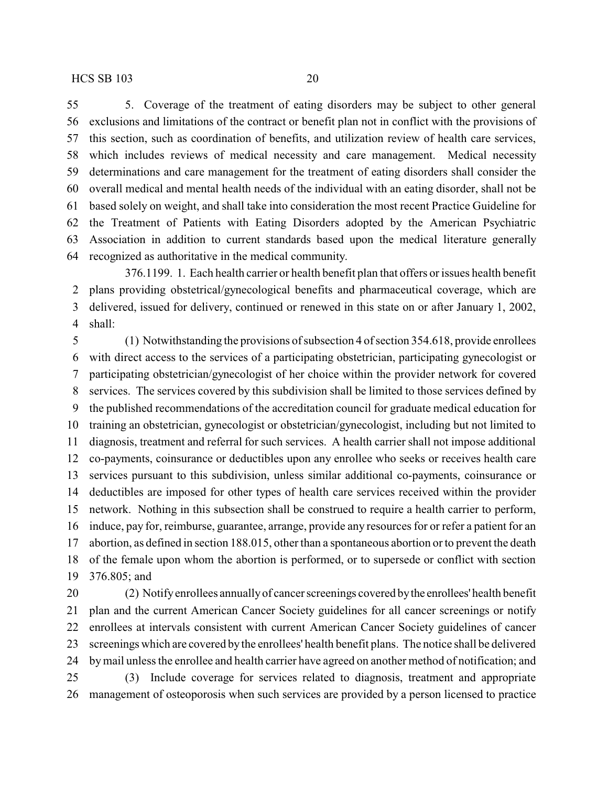5. Coverage of the treatment of eating disorders may be subject to other general exclusions and limitations of the contract or benefit plan not in conflict with the provisions of this section, such as coordination of benefits, and utilization review of health care services, which includes reviews of medical necessity and care management. Medical necessity determinations and care management for the treatment of eating disorders shall consider the overall medical and mental health needs of the individual with an eating disorder, shall not be based solely on weight, and shall take into consideration the most recent Practice Guideline for the Treatment of Patients with Eating Disorders adopted by the American Psychiatric Association in addition to current standards based upon the medical literature generally recognized as authoritative in the medical community.

376.1199. 1. Each health carrier or health benefit plan that offers or issues health benefit plans providing obstetrical/gynecological benefits and pharmaceutical coverage, which are delivered, issued for delivery, continued or renewed in this state on or after January 1, 2002, shall:

 (1) Notwithstanding the provisions of subsection 4 of section 354.618, provide enrollees with direct access to the services of a participating obstetrician, participating gynecologist or participating obstetrician/gynecologist of her choice within the provider network for covered services. The services covered by this subdivision shall be limited to those services defined by the published recommendations of the accreditation council for graduate medical education for training an obstetrician, gynecologist or obstetrician/gynecologist, including but not limited to diagnosis, treatment and referral for such services. A health carrier shall not impose additional co-payments, coinsurance or deductibles upon any enrollee who seeks or receives health care services pursuant to this subdivision, unless similar additional co-payments, coinsurance or deductibles are imposed for other types of health care services received within the provider network. Nothing in this subsection shall be construed to require a health carrier to perform, induce, pay for, reimburse, guarantee, arrange, provide any resources for or refer a patient for an abortion, as defined in section 188.015, other than a spontaneous abortion or to prevent the death of the female upon whom the abortion is performed, or to supersede or conflict with section 376.805; and

 (2) Notifyenrollees annuallyof cancer screenings covered bythe enrollees' health benefit plan and the current American Cancer Society guidelines for all cancer screenings or notify enrollees at intervals consistent with current American Cancer Society guidelines of cancer screenings which are covered by the enrollees' health benefit plans. The notice shall be delivered bymail unless the enrollee and health carrier have agreed on another method of notification; and (3) Include coverage for services related to diagnosis, treatment and appropriate management of osteoporosis when such services are provided by a person licensed to practice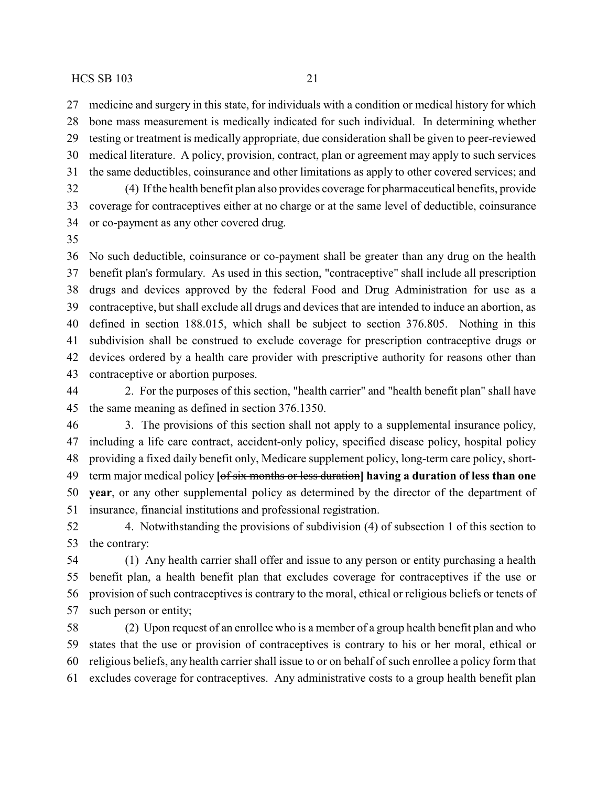medicine and surgery in this state, for individuals with a condition or medical history for which bone mass measurement is medically indicated for such individual. In determining whether testing or treatment is medically appropriate, due consideration shall be given to peer-reviewed medical literature. A policy, provision, contract, plan or agreement may apply to such services the same deductibles, coinsurance and other limitations as apply to other covered services; and (4) If the health benefit plan also provides coverage for pharmaceutical benefits, provide coverage for contraceptives either at no charge or at the same level of deductible, coinsurance

- or co-payment as any other covered drug.
- 

 No such deductible, coinsurance or co-payment shall be greater than any drug on the health benefit plan's formulary. As used in this section, "contraceptive" shall include all prescription drugs and devices approved by the federal Food and Drug Administration for use as a contraceptive, but shall exclude all drugs and devices that are intended to induce an abortion, as defined in section 188.015, which shall be subject to section 376.805. Nothing in this subdivision shall be construed to exclude coverage for prescription contraceptive drugs or devices ordered by a health care provider with prescriptive authority for reasons other than contraceptive or abortion purposes.

 2. For the purposes of this section, "health carrier" and "health benefit plan" shall have the same meaning as defined in section 376.1350.

 3. The provisions of this section shall not apply to a supplemental insurance policy, including a life care contract, accident-only policy, specified disease policy, hospital policy providing a fixed daily benefit only, Medicare supplement policy, long-term care policy, short- term major medical policy **[**of six months or less duration**] having a duration of less than one year**, or any other supplemental policy as determined by the director of the department of insurance, financial institutions and professional registration.

 4. Notwithstanding the provisions of subdivision (4) of subsection 1 of this section to the contrary:

 (1) Any health carrier shall offer and issue to any person or entity purchasing a health benefit plan, a health benefit plan that excludes coverage for contraceptives if the use or provision of such contraceptives is contrary to the moral, ethical or religious beliefs or tenets of such person or entity;

 (2) Upon request of an enrollee who is a member of a group health benefit plan and who states that the use or provision of contraceptives is contrary to his or her moral, ethical or religious beliefs, any health carrier shall issue to or on behalf of such enrollee a policy form that excludes coverage for contraceptives. Any administrative costs to a group health benefit plan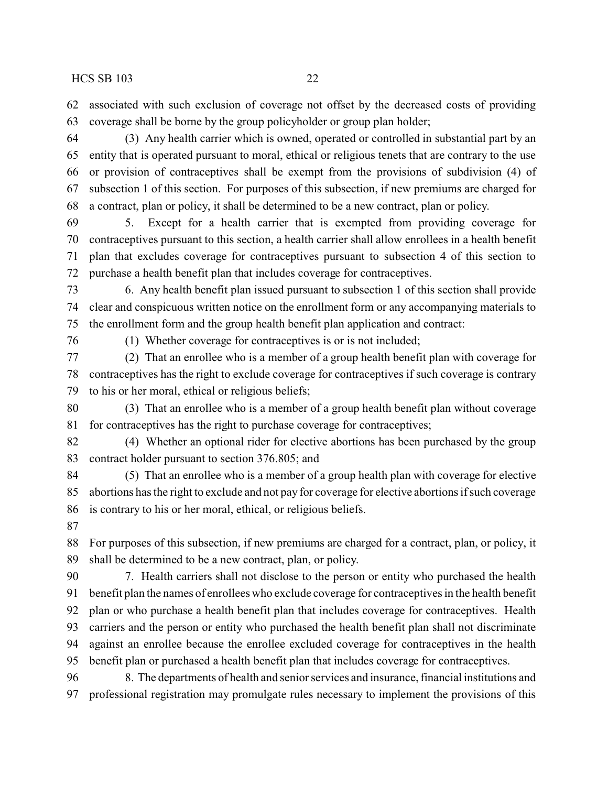associated with such exclusion of coverage not offset by the decreased costs of providing coverage shall be borne by the group policyholder or group plan holder;

 (3) Any health carrier which is owned, operated or controlled in substantial part by an entity that is operated pursuant to moral, ethical or religious tenets that are contrary to the use or provision of contraceptives shall be exempt from the provisions of subdivision (4) of subsection 1 of this section. For purposes of this subsection, if new premiums are charged for a contract, plan or policy, it shall be determined to be a new contract, plan or policy.

 5. Except for a health carrier that is exempted from providing coverage for contraceptives pursuant to this section, a health carrier shall allow enrollees in a health benefit plan that excludes coverage for contraceptives pursuant to subsection 4 of this section to purchase a health benefit plan that includes coverage for contraceptives.

 6. Any health benefit plan issued pursuant to subsection 1 of this section shall provide clear and conspicuous written notice on the enrollment form or any accompanying materials to the enrollment form and the group health benefit plan application and contract:

(1) Whether coverage for contraceptives is or is not included;

 (2) That an enrollee who is a member of a group health benefit plan with coverage for contraceptives has the right to exclude coverage for contraceptives if such coverage is contrary to his or her moral, ethical or religious beliefs;

 (3) That an enrollee who is a member of a group health benefit plan without coverage for contraceptives has the right to purchase coverage for contraceptives;

 (4) Whether an optional rider for elective abortions has been purchased by the group contract holder pursuant to section 376.805; and

 (5) That an enrollee who is a member of a group health plan with coverage for elective abortions has the right to exclude and not pay for coverage for elective abortions if such coverage is contrary to his or her moral, ethical, or religious beliefs.

 For purposes of this subsection, if new premiums are charged for a contract, plan, or policy, it shall be determined to be a new contract, plan, or policy.

 7. Health carriers shall not disclose to the person or entity who purchased the health benefit plan the names of enrollees who exclude coverage for contraceptives in the health benefit plan or who purchase a health benefit plan that includes coverage for contraceptives. Health carriers and the person or entity who purchased the health benefit plan shall not discriminate against an enrollee because the enrollee excluded coverage for contraceptives in the health benefit plan or purchased a health benefit plan that includes coverage for contraceptives.

 8. The departments of health and senior services and insurance, financial institutions and professional registration may promulgate rules necessary to implement the provisions of this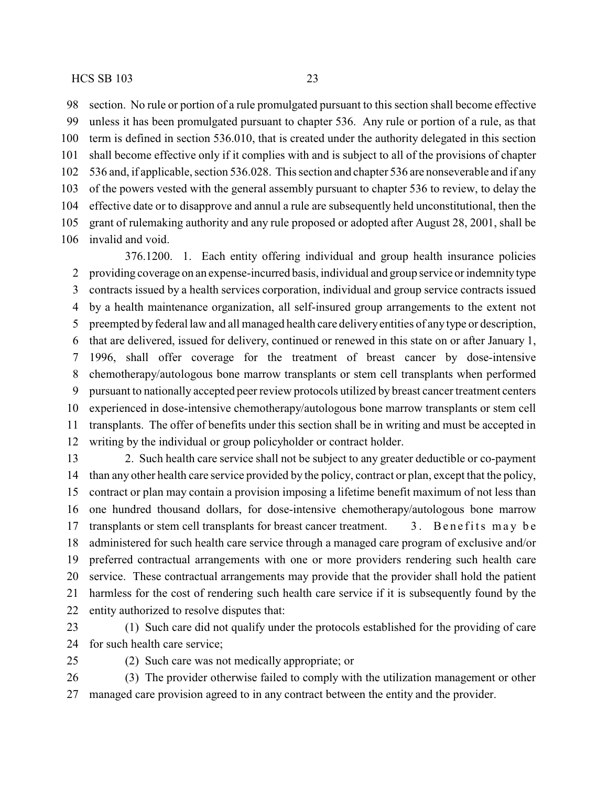section. No rule or portion of a rule promulgated pursuant to this section shall become effective unless it has been promulgated pursuant to chapter 536. Any rule or portion of a rule, as that term is defined in section 536.010, that is created under the authority delegated in this section shall become effective only if it complies with and is subject to all of the provisions of chapter 536 and, if applicable, section 536.028. This section and chapter 536 are nonseverable and if any of the powers vested with the general assembly pursuant to chapter 536 to review, to delay the effective date or to disapprove and annul a rule are subsequently held unconstitutional, then the grant of rulemaking authority and any rule proposed or adopted after August 28, 2001, shall be invalid and void.

376.1200. 1. Each entity offering individual and group health insurance policies providing coverage on an expense-incurred basis, individual and group service or indemnitytype contracts issued by a health services corporation, individual and group service contracts issued by a health maintenance organization, all self-insured group arrangements to the extent not preempted by federal law and all managed health care deliveryentities of any type or description, that are delivered, issued for delivery, continued or renewed in this state on or after January 1, 1996, shall offer coverage for the treatment of breast cancer by dose-intensive chemotherapy/autologous bone marrow transplants or stem cell transplants when performed pursuant to nationally accepted peer review protocols utilized by breast cancer treatment centers experienced in dose-intensive chemotherapy/autologous bone marrow transplants or stem cell transplants. The offer of benefits under this section shall be in writing and must be accepted in writing by the individual or group policyholder or contract holder.

 2. Such health care service shall not be subject to any greater deductible or co-payment than any other health care service provided by the policy, contract or plan, except that the policy, contract or plan may contain a provision imposing a lifetime benefit maximum of not less than one hundred thousand dollars, for dose-intensive chemotherapy/autologous bone marrow 17 transplants or stem cell transplants for breast cancer treatment. 3. Benefits may be administered for such health care service through a managed care program of exclusive and/or preferred contractual arrangements with one or more providers rendering such health care service. These contractual arrangements may provide that the provider shall hold the patient harmless for the cost of rendering such health care service if it is subsequently found by the entity authorized to resolve disputes that:

 (1) Such care did not qualify under the protocols established for the providing of care for such health care service;

(2) Such care was not medically appropriate; or

 (3) The provider otherwise failed to comply with the utilization management or other managed care provision agreed to in any contract between the entity and the provider.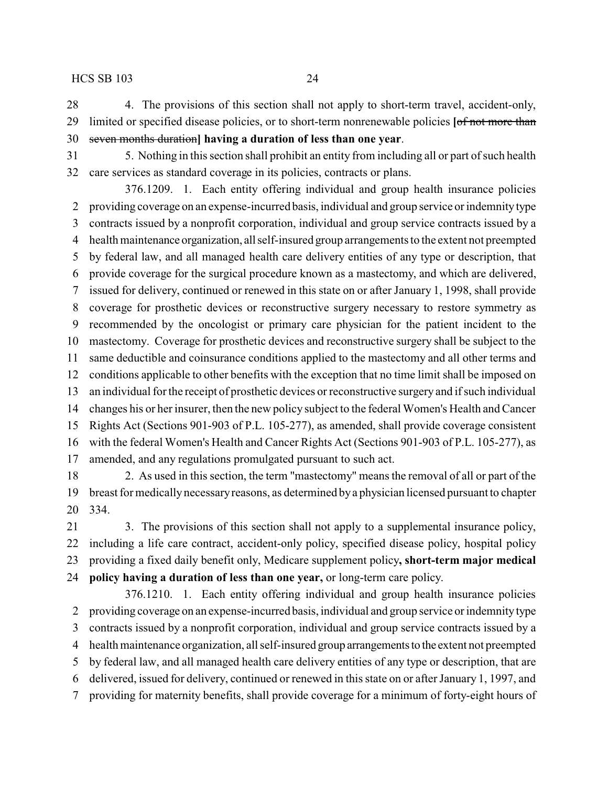4. The provisions of this section shall not apply to short-term travel, accident-only, limited or specified disease policies, or to short-term nonrenewable policies **[**of not more than seven months duration**] having a duration of less than one year**.

 5. Nothing in this section shall prohibit an entity from including all or part of such health care services as standard coverage in its policies, contracts or plans.

376.1209. 1. Each entity offering individual and group health insurance policies providing coverage on an expense-incurred basis, individual and group service or indemnitytype contracts issued by a nonprofit corporation, individual and group service contracts issued by a health maintenance organization, allself-insured group arrangements to the extent not preempted by federal law, and all managed health care delivery entities of any type or description, that provide coverage for the surgical procedure known as a mastectomy, and which are delivered, issued for delivery, continued or renewed in this state on or after January 1, 1998, shall provide coverage for prosthetic devices or reconstructive surgery necessary to restore symmetry as recommended by the oncologist or primary care physician for the patient incident to the mastectomy. Coverage for prosthetic devices and reconstructive surgery shall be subject to the same deductible and coinsurance conditions applied to the mastectomy and all other terms and conditions applicable to other benefits with the exception that no time limit shall be imposed on an individual for the receipt of prosthetic devices or reconstructive surgery and if such individual changes his or her insurer, then the new policy subject to the federal Women's Health and Cancer Rights Act (Sections 901-903 of P.L. 105-277), as amended, shall provide coverage consistent with the federal Women's Health and Cancer Rights Act (Sections 901-903 of P.L. 105-277), as amended, and any regulations promulgated pursuant to such act.

 2. As used in this section, the term "mastectomy" means the removal of all or part of the breast for medically necessaryreasons, as determined bya physician licensed pursuant to chapter 334.

21 3. The provisions of this section shall not apply to a supplemental insurance policy, including a life care contract, accident-only policy, specified disease policy, hospital policy providing a fixed daily benefit only, Medicare supplement policy**, short-term major medical policy having a duration of less than one year,** or long-term care policy.

376.1210. 1. Each entity offering individual and group health insurance policies providing coverage on an expense-incurred basis, individual and group service or indemnitytype contracts issued by a nonprofit corporation, individual and group service contracts issued by a health maintenance organization, all self-insured group arrangementsto the extent not preempted by federal law, and all managed health care delivery entities of any type or description, that are delivered, issued for delivery, continued or renewed in this state on or after January 1, 1997, and providing for maternity benefits, shall provide coverage for a minimum of forty-eight hours of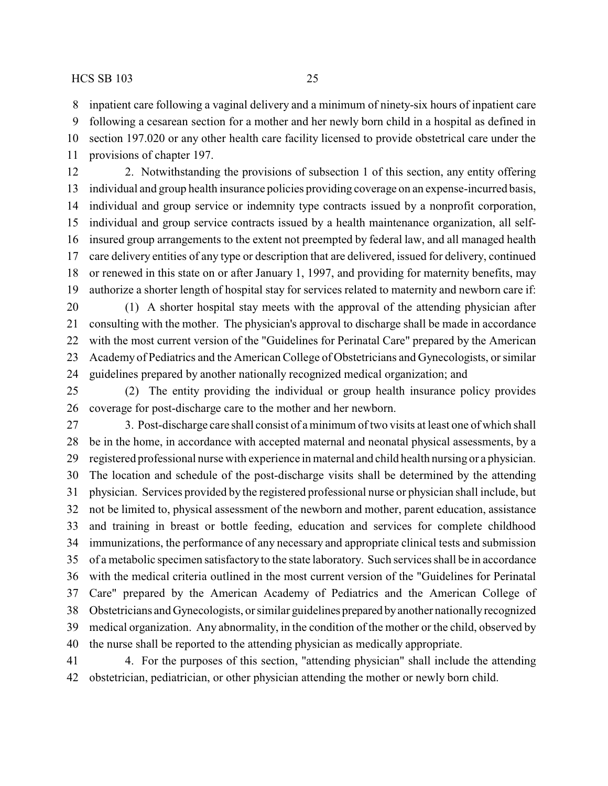inpatient care following a vaginal delivery and a minimum of ninety-six hours of inpatient care

 following a cesarean section for a mother and her newly born child in a hospital as defined in section 197.020 or any other health care facility licensed to provide obstetrical care under the provisions of chapter 197.

 2. Notwithstanding the provisions of subsection 1 of this section, any entity offering individual and group health insurance policies providing coverage on an expense-incurred basis, individual and group service or indemnity type contracts issued by a nonprofit corporation, individual and group service contracts issued by a health maintenance organization, all self- insured group arrangements to the extent not preempted by federal law, and all managed health care delivery entities of any type or description that are delivered, issued for delivery, continued or renewed in this state on or after January 1, 1997, and providing for maternity benefits, may authorize a shorter length of hospital stay for services related to maternity and newborn care if:

 (1) A shorter hospital stay meets with the approval of the attending physician after consulting with the mother. The physician's approval to discharge shall be made in accordance with the most current version of the "Guidelines for Perinatal Care" prepared by the American Academy of Pediatrics and the American College of Obstetricians and Gynecologists, or similar guidelines prepared by another nationally recognized medical organization; and

 (2) The entity providing the individual or group health insurance policy provides coverage for post-discharge care to the mother and her newborn.

 3. Post-discharge care shall consist of a minimum of two visits at least one of which shall be in the home, in accordance with accepted maternal and neonatal physical assessments, by a registered professional nurse with experience in maternal and child health nursing or a physician. The location and schedule of the post-discharge visits shall be determined by the attending physician. Services provided by the registered professional nurse or physician shall include, but not be limited to, physical assessment of the newborn and mother, parent education, assistance and training in breast or bottle feeding, education and services for complete childhood immunizations, the performance of any necessary and appropriate clinical tests and submission of a metabolic specimen satisfactory to the state laboratory. Such services shall be in accordance with the medical criteria outlined in the most current version of the "Guidelines for Perinatal Care" prepared by the American Academy of Pediatrics and the American College of Obstetricians and Gynecologists, or similar guidelines prepared byanother nationallyrecognized medical organization. Any abnormality, in the condition of the mother or the child, observed by the nurse shall be reported to the attending physician as medically appropriate.

 4. For the purposes of this section, "attending physician" shall include the attending obstetrician, pediatrician, or other physician attending the mother or newly born child.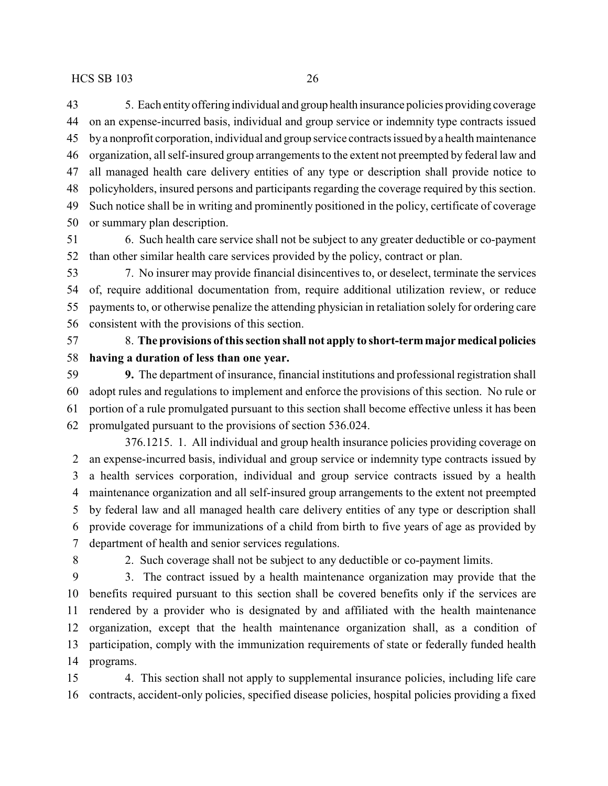5. Each entityoffering individual and group health insurance policies providing coverage on an expense-incurred basis, individual and group service or indemnity type contracts issued bya nonprofit corporation, individual and group service contracts issued bya health maintenance organization, all self-insured group arrangements to the extent not preempted by federal law and all managed health care delivery entities of any type or description shall provide notice to policyholders, insured persons and participants regarding the coverage required by this section. Such notice shall be in writing and prominently positioned in the policy, certificate of coverage or summary plan description.

 6. Such health care service shall not be subject to any greater deductible or co-payment than other similar health care services provided by the policy, contract or plan.

 7. No insurer may provide financial disincentives to, or deselect, terminate the services of, require additional documentation from, require additional utilization review, or reduce payments to, or otherwise penalize the attending physician in retaliation solely for ordering care consistent with the provisions of this section.

## 8. **The provisions ofthis section shall not apply to short-termmajor medical policies having a duration of less than one year.**

 **9.** The department of insurance, financial institutions and professional registration shall adopt rules and regulations to implement and enforce the provisions of this section. No rule or portion of a rule promulgated pursuant to this section shall become effective unless it has been promulgated pursuant to the provisions of section 536.024.

376.1215. 1. All individual and group health insurance policies providing coverage on an expense-incurred basis, individual and group service or indemnity type contracts issued by a health services corporation, individual and group service contracts issued by a health maintenance organization and all self-insured group arrangements to the extent not preempted by federal law and all managed health care delivery entities of any type or description shall provide coverage for immunizations of a child from birth to five years of age as provided by department of health and senior services regulations.

- 
- 2. Such coverage shall not be subject to any deductible or co-payment limits.

 3. The contract issued by a health maintenance organization may provide that the benefits required pursuant to this section shall be covered benefits only if the services are rendered by a provider who is designated by and affiliated with the health maintenance organization, except that the health maintenance organization shall, as a condition of participation, comply with the immunization requirements of state or federally funded health programs.

 4. This section shall not apply to supplemental insurance policies, including life care contracts, accident-only policies, specified disease policies, hospital policies providing a fixed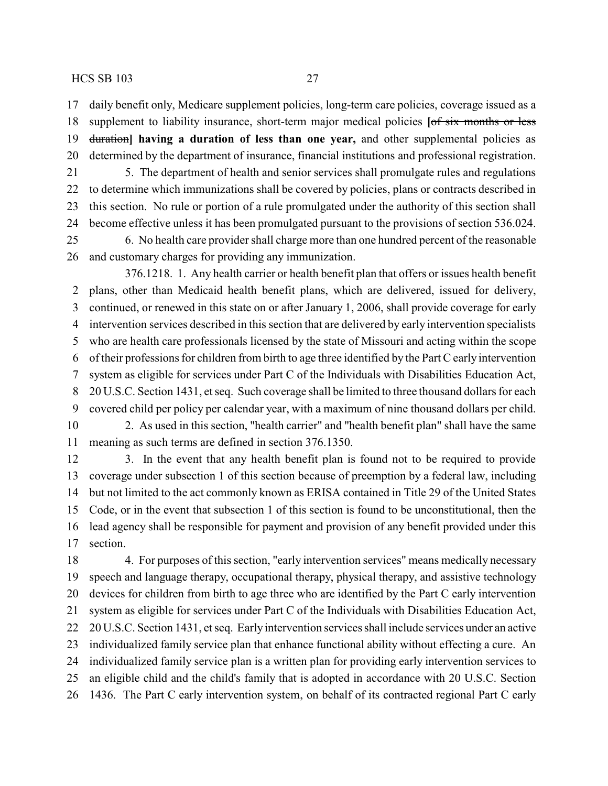daily benefit only, Medicare supplement policies, long-term care policies, coverage issued as a supplement to liability insurance, short-term major medical policies **[**of six months or less duration**] having a duration of less than one year,** and other supplemental policies as determined by the department of insurance, financial institutions and professional registration. 5. The department of health and senior services shall promulgate rules and regulations to determine which immunizations shall be covered by policies, plans or contracts described in this section. No rule or portion of a rule promulgated under the authority of this section shall become effective unless it has been promulgated pursuant to the provisions of section 536.024. 6. No health care provider shall charge more than one hundred percent of the reasonable and customary charges for providing any immunization. 376.1218. 1. Any health carrier or health benefit plan that offers or issues health benefit

 plans, other than Medicaid health benefit plans, which are delivered, issued for delivery, continued, or renewed in this state on or after January 1, 2006, shall provide coverage for early intervention services described in this section that are delivered by early intervention specialists who are health care professionals licensed by the state of Missouri and acting within the scope of their professions for children from birth to age three identified by the Part C early intervention system as eligible for services under Part C of the Individuals with Disabilities Education Act, 20 U.S.C. Section 1431, et seq. Such coverage shall be limited to three thousand dollars for each covered child per policy per calendar year, with a maximum of nine thousand dollars per child. 2. As used in this section, "health carrier" and "health benefit plan" shall have the same meaning as such terms are defined in section 376.1350.

 3. In the event that any health benefit plan is found not to be required to provide coverage under subsection 1 of this section because of preemption by a federal law, including but not limited to the act commonly known as ERISA contained in Title 29 of the United States Code, or in the event that subsection 1 of this section is found to be unconstitutional, then the lead agency shall be responsible for payment and provision of any benefit provided under this section.

 4. For purposes of this section, "early intervention services" means medically necessary speech and language therapy, occupational therapy, physical therapy, and assistive technology devices for children from birth to age three who are identified by the Part C early intervention system as eligible for services under Part C of the Individuals with Disabilities Education Act, 20 U.S.C. Section 1431, et seq. Earlyintervention services shall include services under an active individualized family service plan that enhance functional ability without effecting a cure. An individualized family service plan is a written plan for providing early intervention services to an eligible child and the child's family that is adopted in accordance with 20 U.S.C. Section 1436. The Part C early intervention system, on behalf of its contracted regional Part C early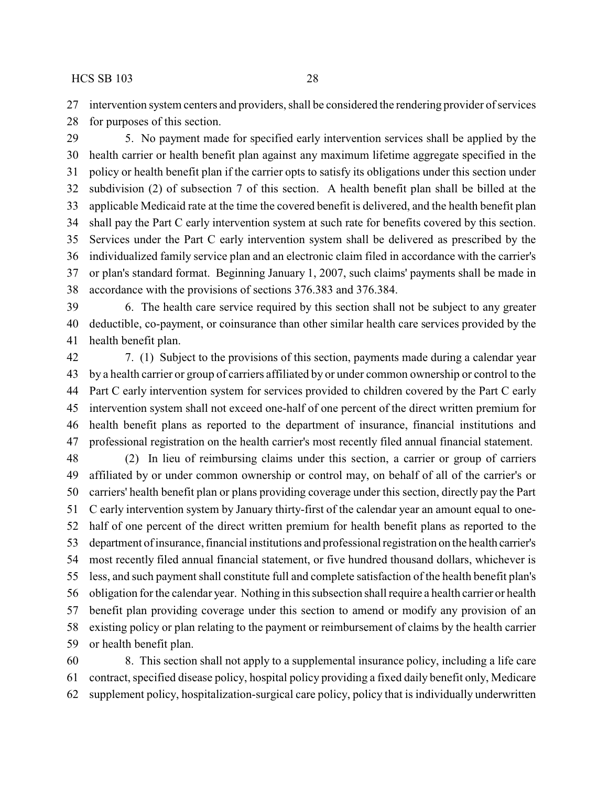intervention system centers and providers, shall be considered the rendering provider of services

for purposes of this section.

 5. No payment made for specified early intervention services shall be applied by the health carrier or health benefit plan against any maximum lifetime aggregate specified in the policy or health benefit plan if the carrier opts to satisfy its obligations under this section under subdivision (2) of subsection 7 of this section. A health benefit plan shall be billed at the applicable Medicaid rate at the time the covered benefit is delivered, and the health benefit plan shall pay the Part C early intervention system at such rate for benefits covered by this section. Services under the Part C early intervention system shall be delivered as prescribed by the individualized family service plan and an electronic claim filed in accordance with the carrier's or plan's standard format. Beginning January 1, 2007, such claims' payments shall be made in accordance with the provisions of sections 376.383 and 376.384.

 6. The health care service required by this section shall not be subject to any greater deductible, co-payment, or coinsurance than other similar health care services provided by the health benefit plan.

 7. (1) Subject to the provisions of this section, payments made during a calendar year by a health carrier or group of carriers affiliated by or under common ownership or control to the Part C early intervention system for services provided to children covered by the Part C early intervention system shall not exceed one-half of one percent of the direct written premium for health benefit plans as reported to the department of insurance, financial institutions and professional registration on the health carrier's most recently filed annual financial statement.

 (2) In lieu of reimbursing claims under this section, a carrier or group of carriers affiliated by or under common ownership or control may, on behalf of all of the carrier's or carriers' health benefit plan or plans providing coverage under this section, directly pay the Part C early intervention system by January thirty-first of the calendar year an amount equal to one- half of one percent of the direct written premium for health benefit plans as reported to the department of insurance, financial institutions and professional registration on the health carrier's most recently filed annual financial statement, or five hundred thousand dollars, whichever is less, and such payment shall constitute full and complete satisfaction of the health benefit plan's obligation for the calendar year. Nothing in this subsection shall require a health carrier or health benefit plan providing coverage under this section to amend or modify any provision of an existing policy or plan relating to the payment or reimbursement of claims by the health carrier or health benefit plan.

 8. This section shall not apply to a supplemental insurance policy, including a life care contract, specified disease policy, hospital policy providing a fixed daily benefit only, Medicare supplement policy, hospitalization-surgical care policy, policy that is individually underwritten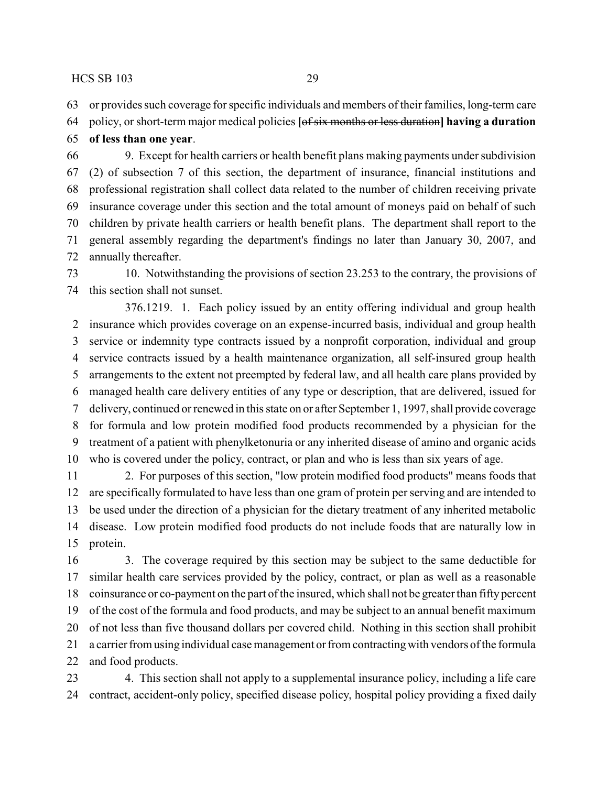or provides such coverage for specific individuals and members of their families, long-term care

policy, or short-term major medical policies **[**of six months or less duration**] having a duration**

**of less than one year**.

 9. Except for health carriers or health benefit plans making payments under subdivision (2) of subsection 7 of this section, the department of insurance, financial institutions and professional registration shall collect data related to the number of children receiving private insurance coverage under this section and the total amount of moneys paid on behalf of such children by private health carriers or health benefit plans. The department shall report to the general assembly regarding the department's findings no later than January 30, 2007, and annually thereafter.

 10. Notwithstanding the provisions of section 23.253 to the contrary, the provisions of this section shall not sunset.

376.1219. 1. Each policy issued by an entity offering individual and group health insurance which provides coverage on an expense-incurred basis, individual and group health service or indemnity type contracts issued by a nonprofit corporation, individual and group service contracts issued by a health maintenance organization, all self-insured group health arrangements to the extent not preempted by federal law, and all health care plans provided by managed health care delivery entities of any type or description, that are delivered, issued for delivery, continued or renewed in this state on or after September 1, 1997, shall provide coverage for formula and low protein modified food products recommended by a physician for the treatment of a patient with phenylketonuria or any inherited disease of amino and organic acids who is covered under the policy, contract, or plan and who is less than six years of age.

 2. For purposes of this section, "low protein modified food products" means foods that are specifically formulated to have less than one gram of protein per serving and are intended to be used under the direction of a physician for the dietary treatment of any inherited metabolic disease. Low protein modified food products do not include foods that are naturally low in protein.

 3. The coverage required by this section may be subject to the same deductible for similar health care services provided by the policy, contract, or plan as well as a reasonable coinsurance or co-payment on the part of the insured, which shall not be greater than fifty percent of the cost of the formula and food products, and may be subject to an annual benefit maximum of not less than five thousand dollars per covered child. Nothing in this section shall prohibit 21 a carrier from using individual case management or from contracting with vendors of the formula and food products.

 4. This section shall not apply to a supplemental insurance policy, including a life care contract, accident-only policy, specified disease policy, hospital policy providing a fixed daily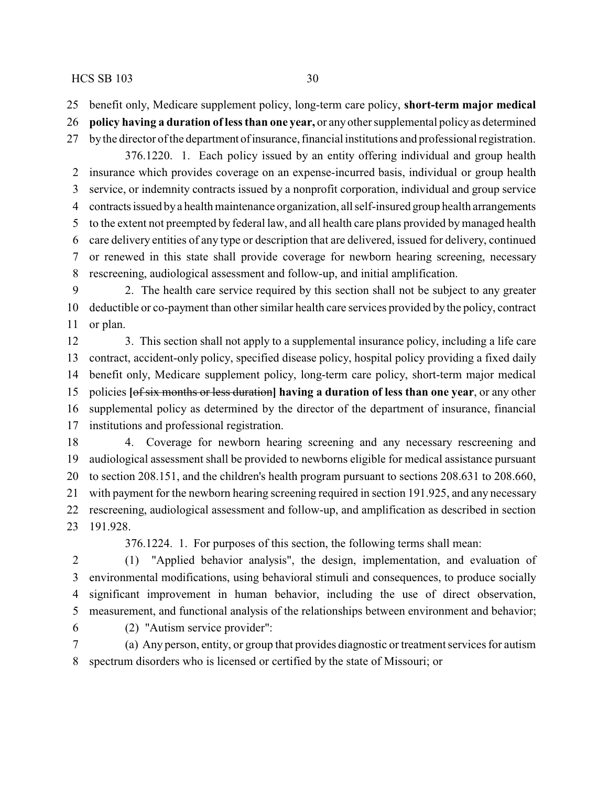benefit only, Medicare supplement policy, long-term care policy, **short-term major medical**

- **policy having a duration of less than one year,** or any other supplemental policy as determined
- bythe director of the department ofinsurance, financial institutions and professional registration. 376.1220. 1. Each policy issued by an entity offering individual and group health insurance which provides coverage on an expense-incurred basis, individual or group health service, or indemnity contracts issued by a nonprofit corporation, individual and group service contractsissued bya health maintenance organization, all self-insured group health arrangements to the extent not preempted by federal law, and all health care plans provided by managed health care delivery entities of any type or description that are delivered, issued for delivery, continued or renewed in this state shall provide coverage for newborn hearing screening, necessary rescreening, audiological assessment and follow-up, and initial amplification.

 2. The health care service required by this section shall not be subject to any greater deductible or co-payment than other similar health care services provided by the policy, contract

or plan.

 3. This section shall not apply to a supplemental insurance policy, including a life care contract, accident-only policy, specified disease policy, hospital policy providing a fixed daily benefit only, Medicare supplement policy, long-term care policy, short-term major medical policies **[**of six months or less duration**] having a duration of less than one year**, or any other supplemental policy as determined by the director of the department of insurance, financial institutions and professional registration.

 4. Coverage for newborn hearing screening and any necessary rescreening and audiological assessment shall be provided to newborns eligible for medical assistance pursuant to section 208.151, and the children's health program pursuant to sections 208.631 to 208.660, with payment for the newborn hearing screening required in section 191.925, and any necessary rescreening, audiological assessment and follow-up, and amplification as described in section 191.928.

376.1224. 1. For purposes of this section, the following terms shall mean:

- (1) "Applied behavior analysis", the design, implementation, and evaluation of environmental modifications, using behavioral stimuli and consequences, to produce socially significant improvement in human behavior, including the use of direct observation, measurement, and functional analysis of the relationships between environment and behavior;
- 

(2) "Autism service provider":

 (a) Any person, entity, or group that provides diagnostic or treatment services for autism spectrum disorders who is licensed or certified by the state of Missouri; or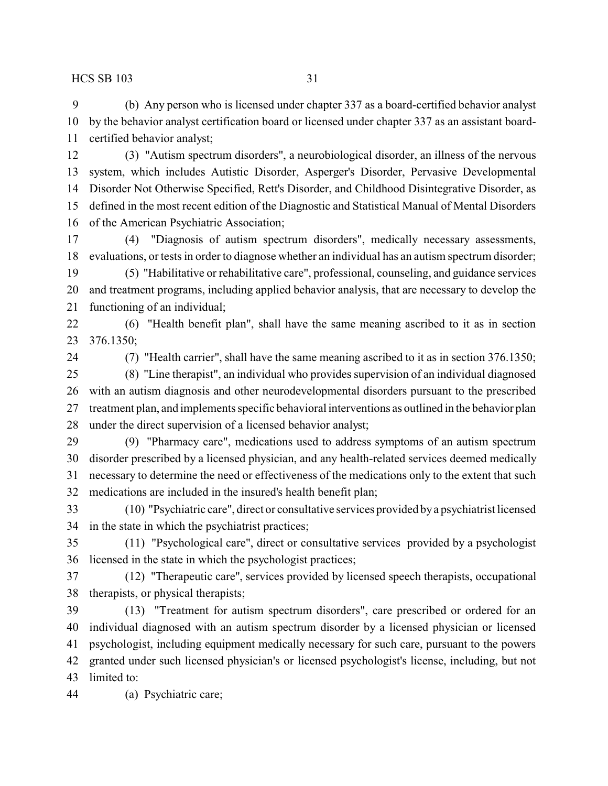(b) Any person who is licensed under chapter 337 as a board-certified behavior analyst by the behavior analyst certification board or licensed under chapter 337 as an assistant board-certified behavior analyst;

 (3) "Autism spectrum disorders", a neurobiological disorder, an illness of the nervous system, which includes Autistic Disorder, Asperger's Disorder, Pervasive Developmental Disorder Not Otherwise Specified, Rett's Disorder, and Childhood Disintegrative Disorder, as defined in the most recent edition of the Diagnostic and Statistical Manual of Mental Disorders of the American Psychiatric Association;

 (4) "Diagnosis of autism spectrum disorders", medically necessary assessments, evaluations, or tests in order to diagnose whether an individual has an autism spectrum disorder;

 (5) "Habilitative or rehabilitative care", professional, counseling, and guidance services and treatment programs, including applied behavior analysis, that are necessary to develop the functioning of an individual;

 (6) "Health benefit plan", shall have the same meaning ascribed to it as in section 376.1350;

(7) "Health carrier", shall have the same meaning ascribed to it as in section 376.1350;

 (8) "Line therapist", an individual who provides supervision of an individual diagnosed with an autism diagnosis and other neurodevelopmental disorders pursuant to the prescribed treatment plan, and implements specific behavioral interventions as outlined in the behavior plan under the direct supervision of a licensed behavior analyst;

 (9) "Pharmacy care", medications used to address symptoms of an autism spectrum disorder prescribed by a licensed physician, and any health-related services deemed medically necessary to determine the need or effectiveness of the medications only to the extent that such medications are included in the insured's health benefit plan;

 (10) "Psychiatric care", direct or consultative services provided bya psychiatrist licensed in the state in which the psychiatrist practices;

 (11) "Psychological care", direct or consultative services provided by a psychologist licensed in the state in which the psychologist practices;

 (12) "Therapeutic care", services provided by licensed speech therapists, occupational therapists, or physical therapists;

 (13) "Treatment for autism spectrum disorders", care prescribed or ordered for an individual diagnosed with an autism spectrum disorder by a licensed physician or licensed psychologist, including equipment medically necessary for such care, pursuant to the powers granted under such licensed physician's or licensed psychologist's license, including, but not limited to:

(a) Psychiatric care;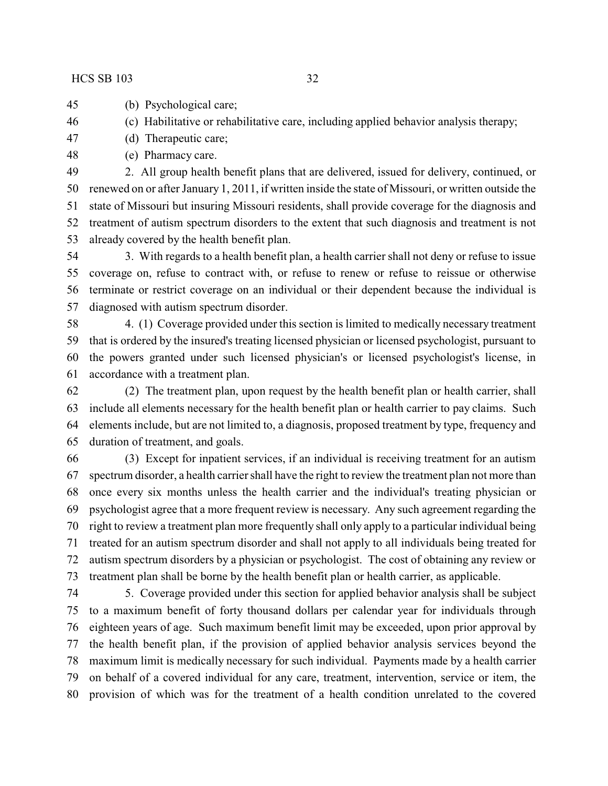- (b) Psychological care;
- (c) Habilitative or rehabilitative care, including applied behavior analysis therapy;
- (d) Therapeutic care;
- (e) Pharmacy care.

 2. All group health benefit plans that are delivered, issued for delivery, continued, or renewed on or after January 1, 2011, if written inside the state of Missouri, or written outside the state of Missouri but insuring Missouri residents, shall provide coverage for the diagnosis and treatment of autism spectrum disorders to the extent that such diagnosis and treatment is not already covered by the health benefit plan.

 3. With regards to a health benefit plan, a health carrier shall not deny or refuse to issue coverage on, refuse to contract with, or refuse to renew or refuse to reissue or otherwise terminate or restrict coverage on an individual or their dependent because the individual is diagnosed with autism spectrum disorder.

 4. (1) Coverage provided under this section is limited to medically necessary treatment that is ordered by the insured's treating licensed physician or licensed psychologist, pursuant to the powers granted under such licensed physician's or licensed psychologist's license, in accordance with a treatment plan.

 (2) The treatment plan, upon request by the health benefit plan or health carrier, shall include all elements necessary for the health benefit plan or health carrier to pay claims. Such elements include, but are not limited to, a diagnosis, proposed treatment by type, frequency and duration of treatment, and goals.

 (3) Except for inpatient services, if an individual is receiving treatment for an autism spectrum disorder, a health carrier shall have the right to review the treatment plan not more than once every six months unless the health carrier and the individual's treating physician or psychologist agree that a more frequent review is necessary. Any such agreement regarding the right to review a treatment plan more frequently shall only apply to a particular individual being treated for an autism spectrum disorder and shall not apply to all individuals being treated for autism spectrum disorders by a physician or psychologist. The cost of obtaining any review or treatment plan shall be borne by the health benefit plan or health carrier, as applicable.

 5. Coverage provided under this section for applied behavior analysis shall be subject to a maximum benefit of forty thousand dollars per calendar year for individuals through eighteen years of age. Such maximum benefit limit may be exceeded, upon prior approval by the health benefit plan, if the provision of applied behavior analysis services beyond the maximum limit is medically necessary for such individual. Payments made by a health carrier on behalf of a covered individual for any care, treatment, intervention, service or item, the provision of which was for the treatment of a health condition unrelated to the covered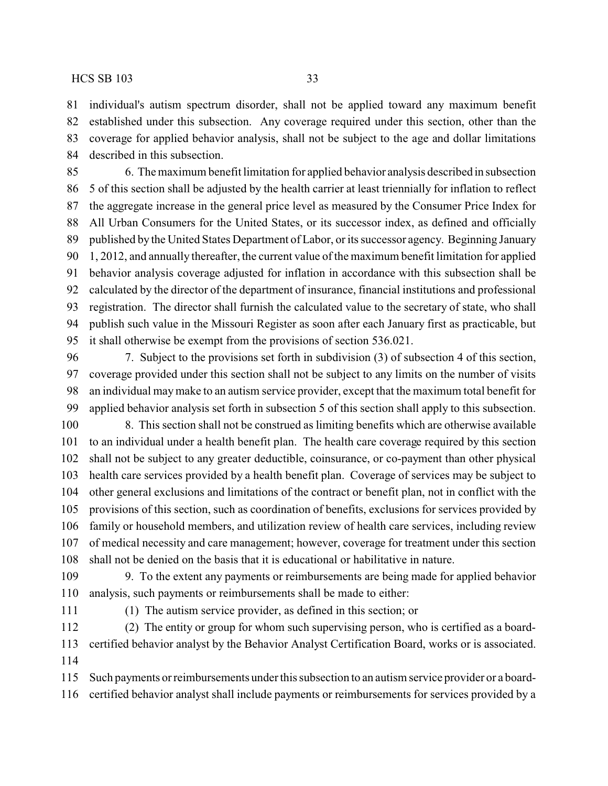individual's autism spectrum disorder, shall not be applied toward any maximum benefit established under this subsection. Any coverage required under this section, other than the coverage for applied behavior analysis, shall not be subject to the age and dollar limitations described in this subsection.

 6. The maximum benefit limitation for applied behavior analysis described in subsection 5 of this section shall be adjusted by the health carrier at least triennially for inflation to reflect the aggregate increase in the general price level as measured by the Consumer Price Index for All Urban Consumers for the United States, or its successor index, as defined and officially published by the United States Department of Labor, or its successor agency. Beginning January 1, 2012, and annually thereafter, the current value of the maximum benefit limitation for applied behavior analysis coverage adjusted for inflation in accordance with this subsection shall be calculated by the director of the department of insurance, financial institutions and professional registration. The director shall furnish the calculated value to the secretary of state, who shall publish such value in the Missouri Register as soon after each January first as practicable, but it shall otherwise be exempt from the provisions of section 536.021.

 7. Subject to the provisions set forth in subdivision (3) of subsection 4 of this section, coverage provided under this section shall not be subject to any limits on the number of visits an individual maymake to an autism service provider, except that the maximum total benefit for applied behavior analysis set forth in subsection 5 of this section shall apply to this subsection.

 8. This section shall not be construed as limiting benefits which are otherwise available to an individual under a health benefit plan. The health care coverage required by this section shall not be subject to any greater deductible, coinsurance, or co-payment than other physical health care services provided by a health benefit plan. Coverage of services may be subject to other general exclusions and limitations of the contract or benefit plan, not in conflict with the provisions of this section, such as coordination of benefits, exclusions for services provided by family or household members, and utilization review of health care services, including review of medical necessity and care management; however, coverage for treatment under this section shall not be denied on the basis that it is educational or habilitative in nature.

 9. To the extent any payments or reimbursements are being made for applied behavior analysis, such payments or reimbursements shall be made to either:

(1) The autism service provider, as defined in this section; or

 (2) The entity or group for whom such supervising person, who is certified as a board- certified behavior analyst by the Behavior Analyst Certification Board, works or is associated. 

 Such payments orreimbursements under this subsection to an autism service provider or a board-certified behavior analyst shall include payments or reimbursements for services provided by a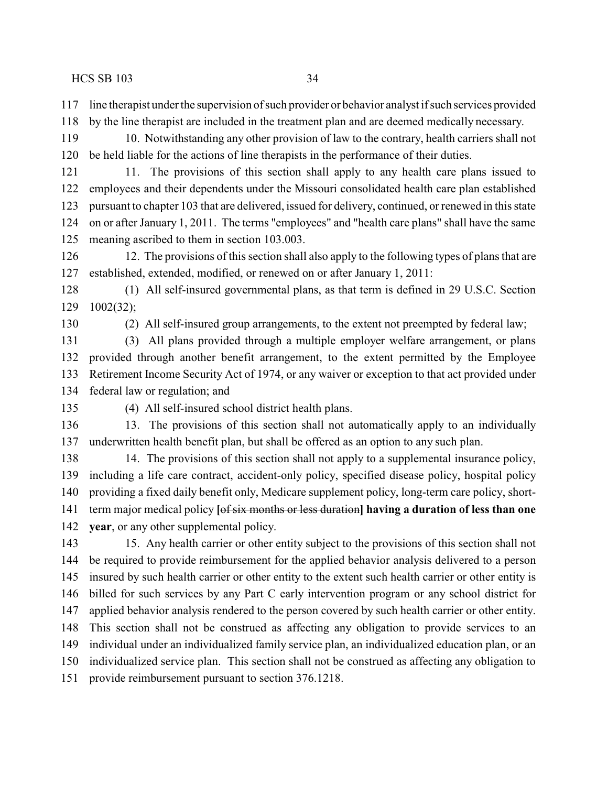line therapist under the supervision of such provider or behavior analyst if such services provided

by the line therapist are included in the treatment plan and are deemed medically necessary.

 10. Notwithstanding any other provision of law to the contrary, health carriers shall not be held liable for the actions of line therapists in the performance of their duties.

 11. The provisions of this section shall apply to any health care plans issued to employees and their dependents under the Missouri consolidated health care plan established pursuant to chapter 103 that are delivered, issued for delivery, continued, or renewed in this state on or after January 1, 2011. The terms "employees" and "health care plans" shall have the same meaning ascribed to them in section 103.003.

126 12. The provisions of this section shall also apply to the following types of plans that are established, extended, modified, or renewed on or after January 1, 2011:

 (1) All self-insured governmental plans, as that term is defined in 29 U.S.C. Section 1002(32);

(2) All self-insured group arrangements, to the extent not preempted by federal law;

 (3) All plans provided through a multiple employer welfare arrangement, or plans provided through another benefit arrangement, to the extent permitted by the Employee Retirement Income Security Act of 1974, or any waiver or exception to that act provided under federal law or regulation; and

(4) All self-insured school district health plans.

 13. The provisions of this section shall not automatically apply to an individually underwritten health benefit plan, but shall be offered as an option to any such plan.

 14. The provisions of this section shall not apply to a supplemental insurance policy, including a life care contract, accident-only policy, specified disease policy, hospital policy providing a fixed daily benefit only, Medicare supplement policy, long-term care policy, short- term major medical policy **[**of six months or less duration**] having a duration of less than one year**, or any other supplemental policy.

 15. Any health carrier or other entity subject to the provisions of this section shall not be required to provide reimbursement for the applied behavior analysis delivered to a person insured by such health carrier or other entity to the extent such health carrier or other entity is billed for such services by any Part C early intervention program or any school district for applied behavior analysis rendered to the person covered by such health carrier or other entity. This section shall not be construed as affecting any obligation to provide services to an individual under an individualized family service plan, an individualized education plan, or an individualized service plan. This section shall not be construed as affecting any obligation to provide reimbursement pursuant to section 376.1218.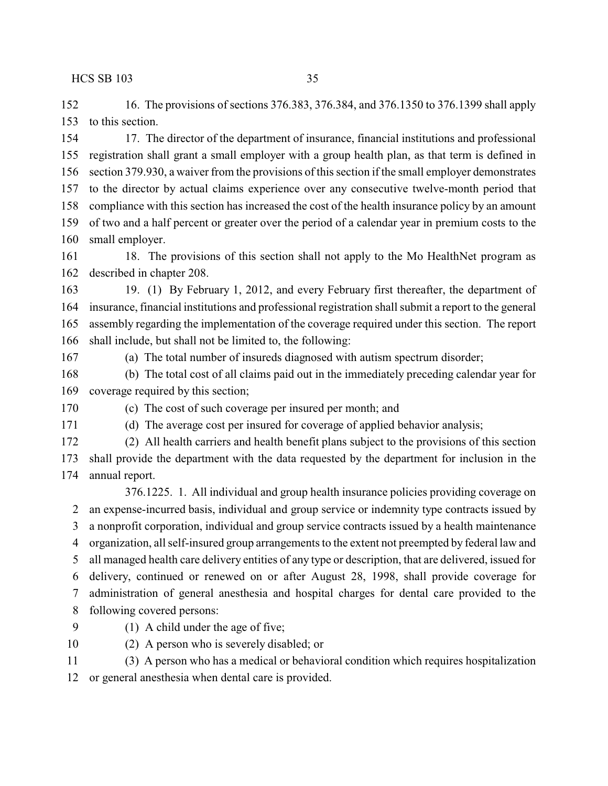16. The provisions of sections 376.383, 376.384, and 376.1350 to 376.1399 shall apply to this section.

 17. The director of the department of insurance, financial institutions and professional registration shall grant a small employer with a group health plan, as that term is defined in section 379.930, a waiver from the provisions of this section if the small employer demonstrates to the director by actual claims experience over any consecutive twelve-month period that compliance with this section has increased the cost of the health insurance policy by an amount of two and a half percent or greater over the period of a calendar year in premium costs to the small employer.

161 18. The provisions of this section shall not apply to the Mo HealthNet program as described in chapter 208.

 19. (1) By February 1, 2012, and every February first thereafter, the department of insurance, financial institutions and professional registration shall submit a report to the general assembly regarding the implementation of the coverage required under this section. The report shall include, but shall not be limited to, the following:

(a) The total number of insureds diagnosed with autism spectrum disorder;

 (b) The total cost of all claims paid out in the immediately preceding calendar year for coverage required by this section;

(c) The cost of such coverage per insured per month; and

(d) The average cost per insured for coverage of applied behavior analysis;

 (2) All health carriers and health benefit plans subject to the provisions of this section shall provide the department with the data requested by the department for inclusion in the annual report.

376.1225. 1. All individual and group health insurance policies providing coverage on an expense-incurred basis, individual and group service or indemnity type contracts issued by a nonprofit corporation, individual and group service contracts issued by a health maintenance organization, all self-insured group arrangements to the extent not preempted by federal law and all managed health care delivery entities of any type or description, that are delivered, issued for delivery, continued or renewed on or after August 28, 1998, shall provide coverage for administration of general anesthesia and hospital charges for dental care provided to the following covered persons: (1) A child under the age of five;

- 
- (2) A person who is severely disabled; or

 (3) A person who has a medical or behavioral condition which requires hospitalization or general anesthesia when dental care is provided.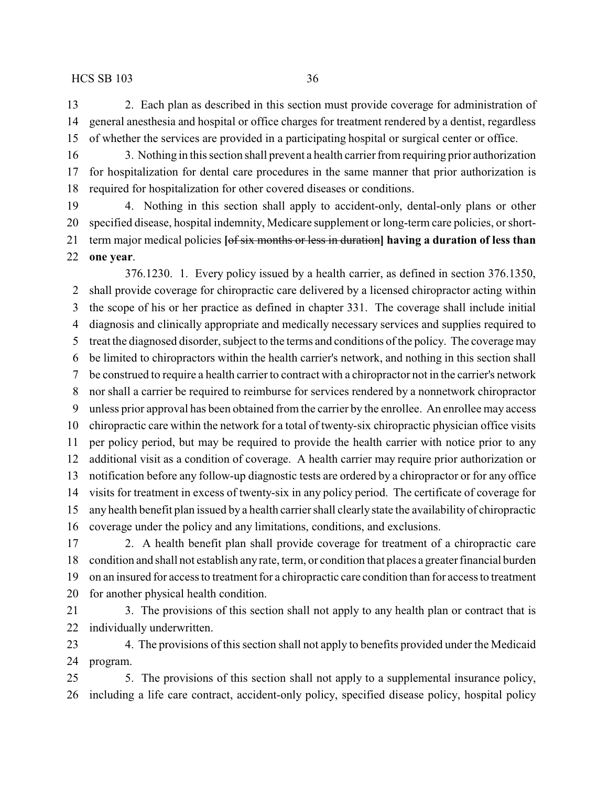2. Each plan as described in this section must provide coverage for administration of general anesthesia and hospital or office charges for treatment rendered by a dentist, regardless of whether the services are provided in a participating hospital or surgical center or office.

 3. Nothing in this section shall prevent a health carrier from requiring prior authorization for hospitalization for dental care procedures in the same manner that prior authorization is required for hospitalization for other covered diseases or conditions.

 4. Nothing in this section shall apply to accident-only, dental-only plans or other specified disease, hospital indemnity, Medicare supplement or long-term care policies, or short- term major medical policies **[**of six months or less in duration**] having a duration of less than one year**.

376.1230. 1. Every policy issued by a health carrier, as defined in section 376.1350, shall provide coverage for chiropractic care delivered by a licensed chiropractor acting within the scope of his or her practice as defined in chapter 331. The coverage shall include initial diagnosis and clinically appropriate and medically necessary services and supplies required to treat the diagnosed disorder, subject to the terms and conditions of the policy. The coverage may be limited to chiropractors within the health carrier's network, and nothing in this section shall be construed to require a health carrier to contract with a chiropractor not in the carrier's network nor shall a carrier be required to reimburse for services rendered by a nonnetwork chiropractor unless prior approval has been obtained from the carrier by the enrollee. An enrollee may access chiropractic care within the network for a total of twenty-six chiropractic physician office visits per policy period, but may be required to provide the health carrier with notice prior to any additional visit as a condition of coverage. A health carrier may require prior authorization or notification before any follow-up diagnostic tests are ordered by a chiropractor or for any office visits for treatment in excess of twenty-six in any policy period. The certificate of coverage for any health benefit plan issued by a health carrier shall clearlystate the availability of chiropractic coverage under the policy and any limitations, conditions, and exclusions.

 2. A health benefit plan shall provide coverage for treatment of a chiropractic care condition and shall not establish any rate, term, or condition that places a greater financial burden on an insured for access to treatment for a chiropractic care condition than for access to treatment for another physical health condition.

21 3. The provisions of this section shall not apply to any health plan or contract that is individually underwritten.

 4. The provisions of this section shall not apply to benefits provided under the Medicaid program.

 5. The provisions of this section shall not apply to a supplemental insurance policy, including a life care contract, accident-only policy, specified disease policy, hospital policy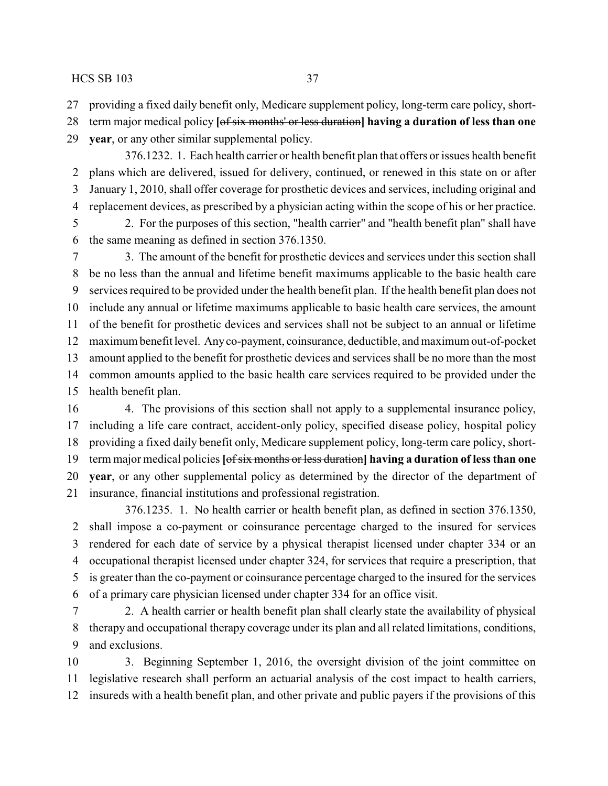- providing a fixed daily benefit only, Medicare supplement policy, long-term care policy, short-
- term major medical policy **[**of six months' or less duration**] having a duration of less than one**
- **year**, or any other similar supplemental policy.
- 376.1232. 1. Each health carrier or health benefit plan that offers or issues health benefit plans which are delivered, issued for delivery, continued, or renewed in this state on or after January 1, 2010, shall offer coverage for prosthetic devices and services, including original and replacement devices, as prescribed by a physician acting within the scope of his or her practice.
- 

 2. For the purposes of this section, "health carrier" and "health benefit plan" shall have the same meaning as defined in section 376.1350.

 3. The amount of the benefit for prosthetic devices and services under this section shall be no less than the annual and lifetime benefit maximums applicable to the basic health care services required to be provided under the health benefit plan. If the health benefit plan does not include any annual or lifetime maximums applicable to basic health care services, the amount of the benefit for prosthetic devices and services shall not be subject to an annual or lifetime maximum benefit level. Anyco-payment, coinsurance, deductible, and maximum out-of-pocket amount applied to the benefit for prosthetic devices and services shall be no more than the most common amounts applied to the basic health care services required to be provided under the health benefit plan.

 4. The provisions of this section shall not apply to a supplemental insurance policy, including a life care contract, accident-only policy, specified disease policy, hospital policy providing a fixed daily benefit only, Medicare supplement policy, long-term care policy, short- term major medical policies **[**of six months or less duration**] having a duration of less than one year**, or any other supplemental policy as determined by the director of the department of insurance, financial institutions and professional registration.

376.1235. 1. No health carrier or health benefit plan, as defined in section 376.1350, shall impose a co-payment or coinsurance percentage charged to the insured for services rendered for each date of service by a physical therapist licensed under chapter 334 or an occupational therapist licensed under chapter 324, for services that require a prescription, that is greater than the co-payment or coinsurance percentage charged to the insured for the services of a primary care physician licensed under chapter 334 for an office visit.

 2. A health carrier or health benefit plan shall clearly state the availability of physical therapy and occupational therapy coverage under its plan and all related limitations, conditions, and exclusions.

 3. Beginning September 1, 2016, the oversight division of the joint committee on legislative research shall perform an actuarial analysis of the cost impact to health carriers, insureds with a health benefit plan, and other private and public payers if the provisions of this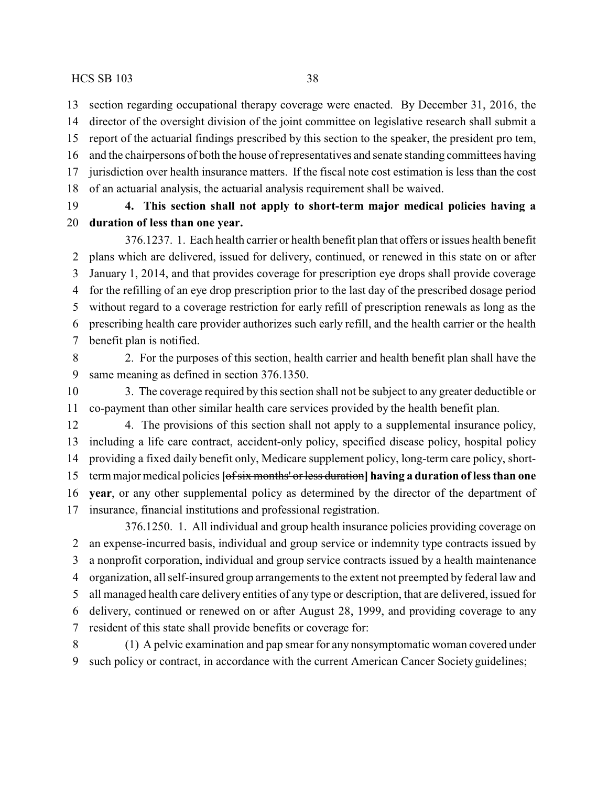section regarding occupational therapy coverage were enacted. By December 31, 2016, the director of the oversight division of the joint committee on legislative research shall submit a report of the actuarial findings prescribed by this section to the speaker, the president pro tem, and the chairpersons of both the house of representatives and senate standing committees having jurisdiction over health insurance matters. If the fiscal note cost estimation is less than the cost of an actuarial analysis, the actuarial analysis requirement shall be waived.

 **4. This section shall not apply to short-term major medical policies having a duration of less than one year.**

376.1237. 1. Each health carrier or health benefit plan that offers or issues health benefit plans which are delivered, issued for delivery, continued, or renewed in this state on or after January 1, 2014, and that provides coverage for prescription eye drops shall provide coverage for the refilling of an eye drop prescription prior to the last day of the prescribed dosage period without regard to a coverage restriction for early refill of prescription renewals as long as the prescribing health care provider authorizes such early refill, and the health carrier or the health benefit plan is notified.

 2. For the purposes of this section, health carrier and health benefit plan shall have the same meaning as defined in section 376.1350.

 3. The coverage required by this section shall not be subject to any greater deductible or co-payment than other similar health care services provided by the health benefit plan.

 4. The provisions of this section shall not apply to a supplemental insurance policy, including a life care contract, accident-only policy, specified disease policy, hospital policy providing a fixed daily benefit only, Medicare supplement policy, long-term care policy, short- term major medical policies **[**of six months' or less duration**] having a duration of less than one year**, or any other supplemental policy as determined by the director of the department of insurance, financial institutions and professional registration.

376.1250. 1. All individual and group health insurance policies providing coverage on an expense-incurred basis, individual and group service or indemnity type contracts issued by a nonprofit corporation, individual and group service contracts issued by a health maintenance organization, all self-insured group arrangements to the extent not preempted by federal law and all managed health care delivery entities of any type or description, that are delivered, issued for delivery, continued or renewed on or after August 28, 1999, and providing coverage to any resident of this state shall provide benefits or coverage for:

 (1) A pelvic examination and pap smear for any nonsymptomatic woman covered under such policy or contract, in accordance with the current American Cancer Society guidelines;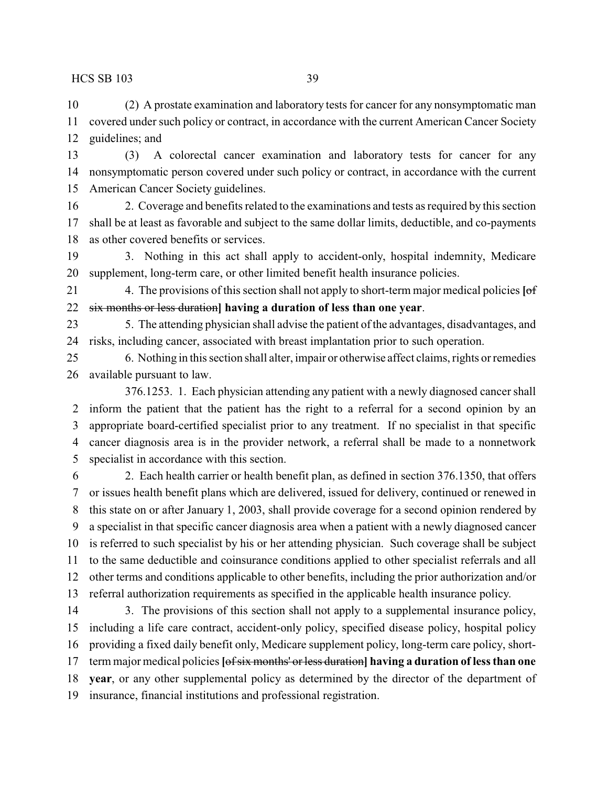(2) A prostate examination and laboratory tests for cancer for any nonsymptomatic man covered under such policy or contract, in accordance with the current American Cancer Society guidelines; and

 (3) A colorectal cancer examination and laboratory tests for cancer for any nonsymptomatic person covered under such policy or contract, in accordance with the current American Cancer Society guidelines.

 2. Coverage and benefits related to the examinations and tests as required by this section shall be at least as favorable and subject to the same dollar limits, deductible, and co-payments as other covered benefits or services.

 3. Nothing in this act shall apply to accident-only, hospital indemnity, Medicare supplement, long-term care, or other limited benefit health insurance policies.

 4. The provisions of this section shall not apply to short-term major medical policies **[**of six months or less duration**] having a duration of less than one year**.

23 5. The attending physician shall advise the patient of the advantages, disadvantages, and risks, including cancer, associated with breast implantation prior to such operation.

 6. Nothing in this section shall alter, impair or otherwise affect claims, rights or remedies available pursuant to law.

376.1253. 1. Each physician attending any patient with a newly diagnosed cancer shall inform the patient that the patient has the right to a referral for a second opinion by an appropriate board-certified specialist prior to any treatment. If no specialist in that specific cancer diagnosis area is in the provider network, a referral shall be made to a nonnetwork specialist in accordance with this section.

 2. Each health carrier or health benefit plan, as defined in section 376.1350, that offers or issues health benefit plans which are delivered, issued for delivery, continued or renewed in this state on or after January 1, 2003, shall provide coverage for a second opinion rendered by a specialist in that specific cancer diagnosis area when a patient with a newly diagnosed cancer is referred to such specialist by his or her attending physician. Such coverage shall be subject to the same deductible and coinsurance conditions applied to other specialist referrals and all other terms and conditions applicable to other benefits, including the prior authorization and/or referral authorization requirements as specified in the applicable health insurance policy.

14 3. The provisions of this section shall not apply to a supplemental insurance policy, including a life care contract, accident-only policy, specified disease policy, hospital policy providing a fixed daily benefit only, Medicare supplement policy, long-term care policy, short- term major medical policies **[**of six months' or less duration**] having a duration of less than one year**, or any other supplemental policy as determined by the director of the department of insurance, financial institutions and professional registration.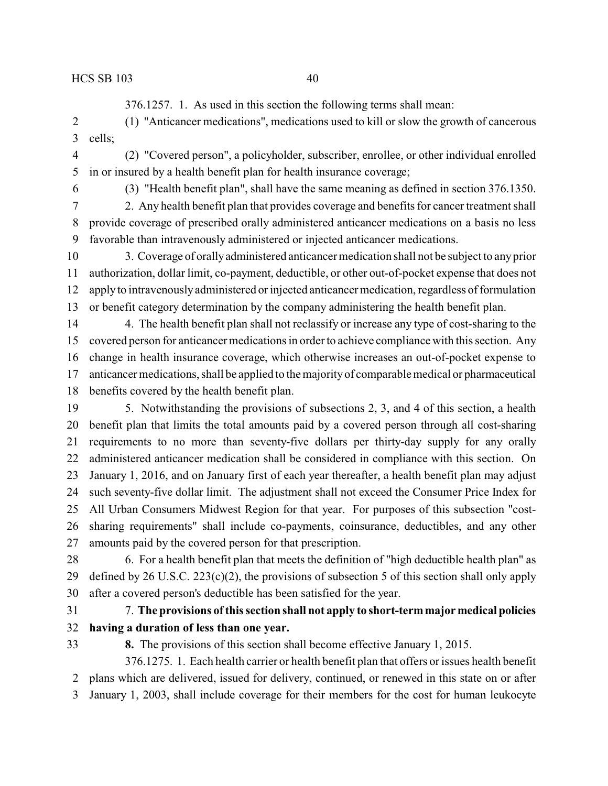376.1257. 1. As used in this section the following terms shall mean:

 (1) "Anticancer medications", medications used to kill or slow the growth of cancerous cells;

 (2) "Covered person", a policyholder, subscriber, enrollee, or other individual enrolled in or insured by a health benefit plan for health insurance coverage;

(3) "Health benefit plan", shall have the same meaning as defined in section 376.1350.

 2. Any health benefit plan that provides coverage and benefits for cancer treatment shall provide coverage of prescribed orally administered anticancer medications on a basis no less favorable than intravenously administered or injected anticancer medications.

 3. Coverage of orallyadministered anticancer medication shall not be subject to anyprior authorization, dollar limit, co-payment, deductible, or other out-of-pocket expense that does not apply to intravenously administered orinjected anticancer medication, regardless of formulation or benefit category determination by the company administering the health benefit plan.

14 4. The health benefit plan shall not reclassify or increase any type of cost-sharing to the covered person for anticancer medications in order to achieve compliance with this section. Any change in health insurance coverage, which otherwise increases an out-of-pocket expense to anticancer medications, shall be applied to the majorityof comparable medical or pharmaceutical benefits covered by the health benefit plan.

 5. Notwithstanding the provisions of subsections 2, 3, and 4 of this section, a health benefit plan that limits the total amounts paid by a covered person through all cost-sharing requirements to no more than seventy-five dollars per thirty-day supply for any orally administered anticancer medication shall be considered in compliance with this section. On January 1, 2016, and on January first of each year thereafter, a health benefit plan may adjust such seventy-five dollar limit. The adjustment shall not exceed the Consumer Price Index for All Urban Consumers Midwest Region for that year. For purposes of this subsection "cost- sharing requirements" shall include co-payments, coinsurance, deductibles, and any other amounts paid by the covered person for that prescription.

 6. For a health benefit plan that meets the definition of "high deductible health plan" as defined by 26 U.S.C. 223(c)(2), the provisions of subsection 5 of this section shall only apply after a covered person's deductible has been satisfied for the year.

 7. **The provisions ofthis section shall not apply to short-termmajor medical policies having a duration of less than one year.**

**8.** The provisions of this section shall become effective January 1, 2015.

376.1275. 1. Each health carrier or health benefit plan that offers or issues health benefit plans which are delivered, issued for delivery, continued, or renewed in this state on or after

January 1, 2003, shall include coverage for their members for the cost for human leukocyte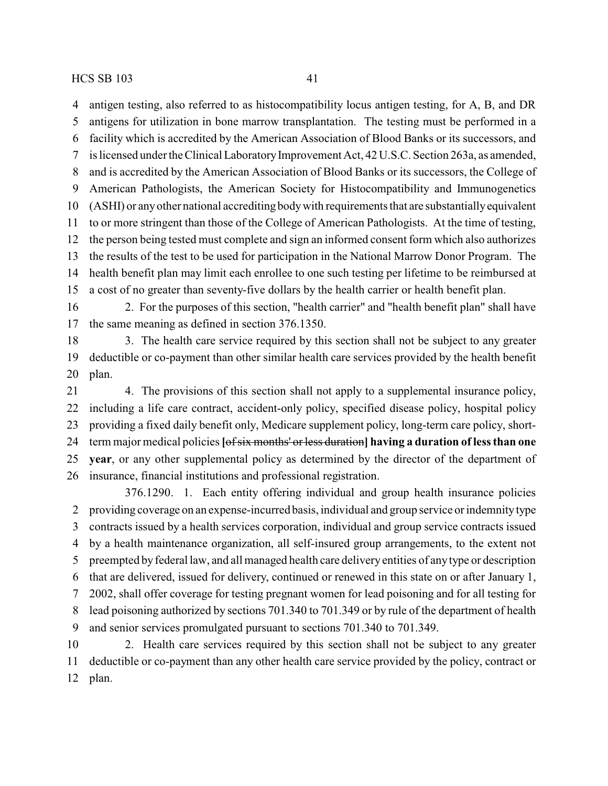antigen testing, also referred to as histocompatibility locus antigen testing, for A, B, and DR

antigens for utilization in bone marrow transplantation. The testing must be performed in a

facility which is accredited by the American Association of Blood Banks or its successors, and

is licensed under theClinical LaboratoryImprovement Act, 42 U.S.C. Section 263a, as amended,

and is accredited by the American Association of Blood Banks or its successors, the College of

 American Pathologists, the American Society for Histocompatibility and Immunogenetics (ASHI) or anyother national accrediting bodywith requirements that are substantiallyequivalent to or more stringent than those of the College of American Pathologists. At the time of testing, the person being tested must complete and sign an informed consent form which also authorizes the results of the test to be used for participation in the National Marrow Donor Program. The health benefit plan may limit each enrollee to one such testing per lifetime to be reimbursed at

a cost of no greater than seventy-five dollars by the health carrier or health benefit plan.

 2. For the purposes of this section, "health carrier" and "health benefit plan" shall have the same meaning as defined in section 376.1350.

 3. The health care service required by this section shall not be subject to any greater deductible or co-payment than other similar health care services provided by the health benefit plan.

 4. The provisions of this section shall not apply to a supplemental insurance policy, including a life care contract, accident-only policy, specified disease policy, hospital policy providing a fixed daily benefit only, Medicare supplement policy, long-term care policy, short- term major medical policies **[**of six months' or less duration**] having a duration of less than one year**, or any other supplemental policy as determined by the director of the department of insurance, financial institutions and professional registration.

376.1290. 1. Each entity offering individual and group health insurance policies providing coverage on an expense-incurred basis, individual and group service or indemnitytype contracts issued by a health services corporation, individual and group service contracts issued by a health maintenance organization, all self-insured group arrangements, to the extent not preempted by federal law, and all managed health care delivery entities of anytype or description that are delivered, issued for delivery, continued or renewed in this state on or after January 1, 2002, shall offer coverage for testing pregnant women for lead poisoning and for all testing for lead poisoning authorized by sections 701.340 to 701.349 or by rule of the department of health and senior services promulgated pursuant to sections 701.340 to 701.349. 2. Health care services required by this section shall not be subject to any greater

 deductible or co-payment than any other health care service provided by the policy, contract or plan.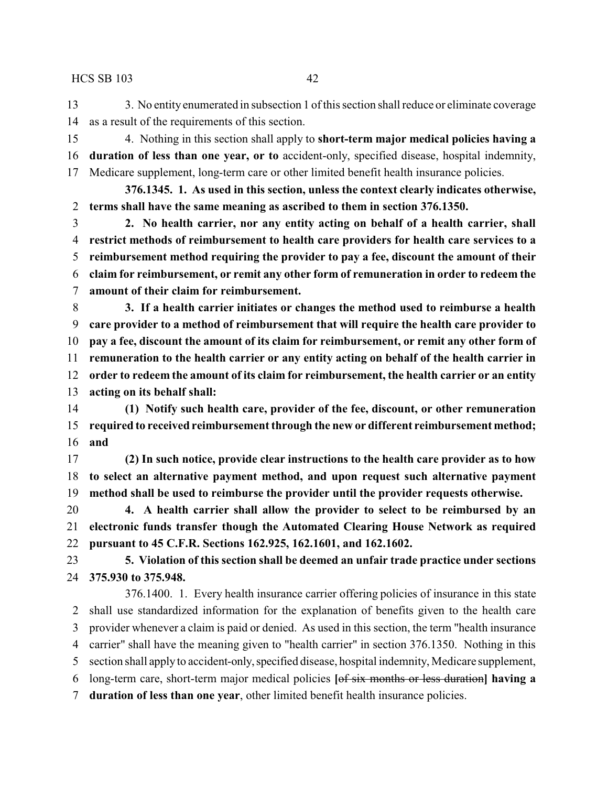3. No entity enumerated in subsection 1 of this section shall reduce or eliminate coverage as a result of the requirements of this section.

 4. Nothing in this section shall apply to **short-term major medical policies having a duration of less than one year, or to** accident-only, specified disease, hospital indemnity, Medicare supplement, long-term care or other limited benefit health insurance policies.

**376.1345. 1. As used in this section, unless the context clearly indicates otherwise, terms shall have the same meaning as ascribed to them in section 376.1350.**

 **2. No health carrier, nor any entity acting on behalf of a health carrier, shall restrict methods of reimbursement to health care providers for health care services to a reimbursement method requiring the provider to pay a fee, discount the amount of their claim for reimbursement, or remit any other form of remuneration in order to redeem the amount of their claim for reimbursement.**

 **3. If a health carrier initiates or changes the method used to reimburse a health care provider to a method of reimbursement that will require the health care provider to pay a fee, discount the amount of its claim for reimbursement, or remit any other form of remuneration to the health carrier or any entity acting on behalf of the health carrier in order to redeem the amount of its claim for reimbursement, the health carrier or an entity acting on its behalf shall:**

 **(1) Notify such health care, provider of the fee, discount, or other remuneration required to received reimbursement through the new or different reimbursement method; and**

 **(2) In such notice, provide clear instructions to the health care provider as to how to select an alternative payment method, and upon request such alternative payment method shall be used to reimburse the provider until the provider requests otherwise.**

 **4. A health carrier shall allow the provider to select to be reimbursed by an electronic funds transfer though the Automated Clearing House Network as required pursuant to 45 C.F.R. Sections 162.925, 162.1601, and 162.1602.**

 **5. Violation of this section shall be deemed an unfair trade practice under sections 375.930 to 375.948.**

376.1400. 1. Every health insurance carrier offering policies of insurance in this state shall use standardized information for the explanation of benefits given to the health care provider whenever a claim is paid or denied. As used in this section, the term "health insurance carrier" shall have the meaning given to "health carrier" in section 376.1350. Nothing in this section shall applyto accident-only,specified disease, hospital indemnity, Medicare supplement, long-term care, short-term major medical policies **[**of six months or less duration**] having a duration of less than one year**, other limited benefit health insurance policies.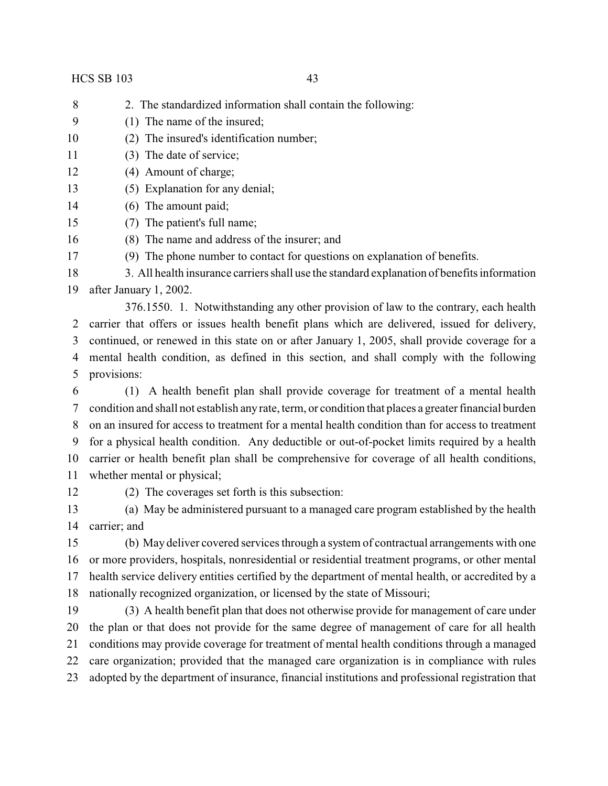- 2. The standardized information shall contain the following:
- (1) The name of the insured;
- (2) The insured's identification number;
- (3) The date of service;
- (4) Amount of charge;
- (5) Explanation for any denial;
- (6) The amount paid;
- (7) The patient's full name;
- (8) The name and address of the insurer; and
- (9) The phone number to contact for questions on explanation of benefits.
- 3. All health insurance carriers shall use the standard explanation of benefits information after January 1, 2002.

376.1550. 1. Notwithstanding any other provision of law to the contrary, each health carrier that offers or issues health benefit plans which are delivered, issued for delivery, continued, or renewed in this state on or after January 1, 2005, shall provide coverage for a mental health condition, as defined in this section, and shall comply with the following provisions:

 (1) A health benefit plan shall provide coverage for treatment of a mental health condition and shall not establish any rate, term, or condition that places a greater financial burden on an insured for access to treatment for a mental health condition than for access to treatment for a physical health condition. Any deductible or out-of-pocket limits required by a health carrier or health benefit plan shall be comprehensive for coverage of all health conditions, whether mental or physical;

(2) The coverages set forth is this subsection:

 (a) May be administered pursuant to a managed care program established by the health carrier; and

 (b) May deliver covered services through a system of contractual arrangements with one or more providers, hospitals, nonresidential or residential treatment programs, or other mental health service delivery entities certified by the department of mental health, or accredited by a nationally recognized organization, or licensed by the state of Missouri;

 (3) A health benefit plan that does not otherwise provide for management of care under the plan or that does not provide for the same degree of management of care for all health conditions may provide coverage for treatment of mental health conditions through a managed care organization; provided that the managed care organization is in compliance with rules adopted by the department of insurance, financial institutions and professional registration that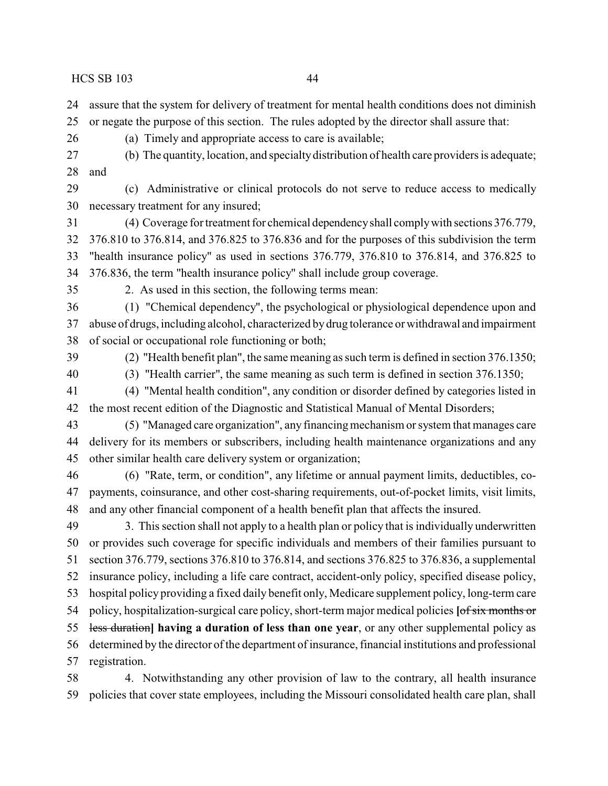assure that the system for delivery of treatment for mental health conditions does not diminish

or negate the purpose of this section. The rules adopted by the director shall assure that:

 (a) Timely and appropriate access to care is available; (b) The quantity, location, and specialtydistribution of health care providers is adequate; and (c) Administrative or clinical protocols do not serve to reduce access to medically necessary treatment for any insured; (4) Coverage for treatment for chemical dependencyshall complywith sections 376.779, 376.810 to 376.814, and 376.825 to 376.836 and for the purposes of this subdivision the term "health insurance policy" as used in sections 376.779, 376.810 to 376.814, and 376.825 to 376.836, the term "health insurance policy" shall include group coverage. 2. As used in this section, the following terms mean: (1) "Chemical dependency", the psychological or physiological dependence upon and abuse of drugs, including alcohol, characterized by drug tolerance or withdrawal and impairment of social or occupational role functioning or both; (2) "Health benefit plan", the same meaning as such term is defined in section 376.1350; (3) "Health carrier", the same meaning as such term is defined in section 376.1350; (4) "Mental health condition", any condition or disorder defined by categories listed in the most recent edition of the Diagnostic and Statistical Manual of Mental Disorders; (5) "Managed care organization", any financingmechanism or system that manages care delivery for its members or subscribers, including health maintenance organizations and any other similar health care delivery system or organization; (6) "Rate, term, or condition", any lifetime or annual payment limits, deductibles, co- payments, coinsurance, and other cost-sharing requirements, out-of-pocket limits, visit limits, and any other financial component of a health benefit plan that affects the insured. 3. This section shall not apply to a health plan or policy that is individually underwritten or provides such coverage for specific individuals and members of their families pursuant to section 376.779, sections 376.810 to 376.814, and sections 376.825 to 376.836, a supplemental insurance policy, including a life care contract, accident-only policy, specified disease policy, hospital policy providing a fixed daily benefit only, Medicare supplement policy, long-term care policy, hospitalization-surgical care policy, short-term major medical policies **[**of six months or less duration**] having a duration of less than one year**, or any other supplemental policy as determined by the director of the department of insurance, financial institutions and professional registration. 4. Notwithstanding any other provision of law to the contrary, all health insurance policies that cover state employees, including the Missouri consolidated health care plan, shall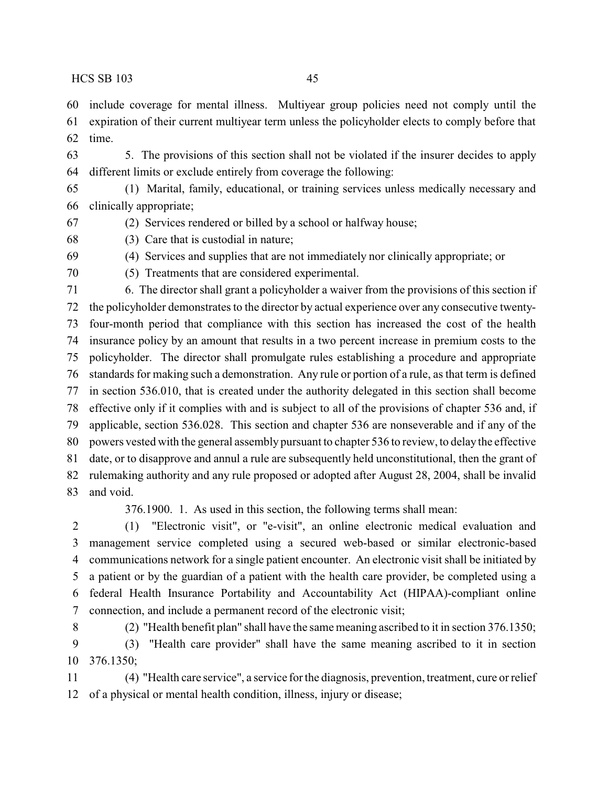include coverage for mental illness. Multiyear group policies need not comply until the expiration of their current multiyear term unless the policyholder elects to comply before that time.

 5. The provisions of this section shall not be violated if the insurer decides to apply different limits or exclude entirely from coverage the following:

 (1) Marital, family, educational, or training services unless medically necessary and clinically appropriate;

(2) Services rendered or billed by a school or halfway house;

(3) Care that is custodial in nature;

(4) Services and supplies that are not immediately nor clinically appropriate; or

(5) Treatments that are considered experimental.

 6. The director shall grant a policyholder a waiver from the provisions of this section if the policyholder demonstrates to the director by actual experience over any consecutive twenty- four-month period that compliance with this section has increased the cost of the health insurance policy by an amount that results in a two percent increase in premium costs to the policyholder. The director shall promulgate rules establishing a procedure and appropriate standards for making such a demonstration. Any rule or portion of a rule, as that term is defined in section 536.010, that is created under the authority delegated in this section shall become effective only if it complies with and is subject to all of the provisions of chapter 536 and, if applicable, section 536.028. This section and chapter 536 are nonseverable and if any of the powers vested with the general assembly pursuant to chapter 536 to review, to delaythe effective date, or to disapprove and annul a rule are subsequently held unconstitutional, then the grant of rulemaking authority and any rule proposed or adopted after August 28, 2004, shall be invalid and void.

376.1900. 1. As used in this section, the following terms shall mean:

 (1) "Electronic visit", or "e-visit", an online electronic medical evaluation and management service completed using a secured web-based or similar electronic-based communications network for a single patient encounter. An electronic visit shall be initiated by a patient or by the guardian of a patient with the health care provider, be completed using a federal Health Insurance Portability and Accountability Act (HIPAA)-compliant online connection, and include a permanent record of the electronic visit;

(2) "Health benefit plan" shall have the same meaning ascribed to it in section 376.1350;

 (3) "Health care provider" shall have the same meaning ascribed to it in section 376.1350;

 (4) "Health care service", a service for the diagnosis, prevention, treatment, cure or relief of a physical or mental health condition, illness, injury or disease;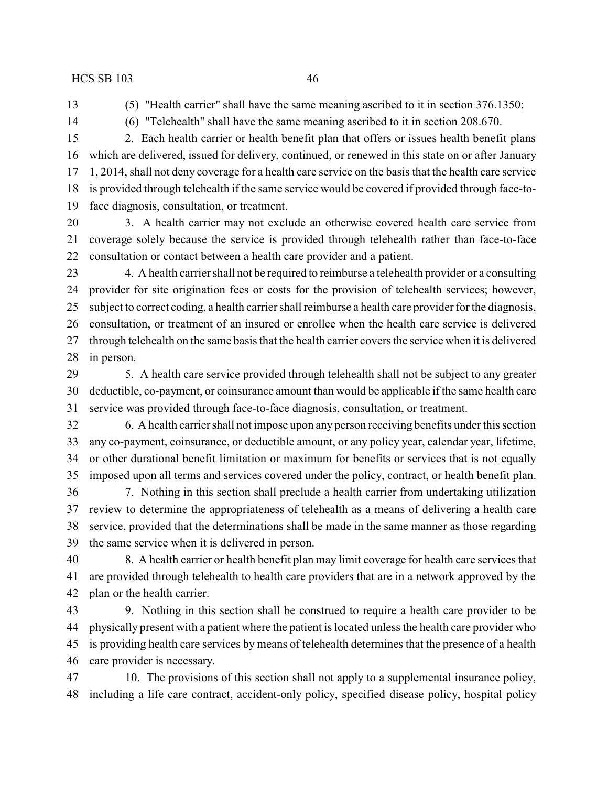(5) "Health carrier" shall have the same meaning ascribed to it in section 376.1350;

(6) "Telehealth" shall have the same meaning ascribed to it in section 208.670.

 2. Each health carrier or health benefit plan that offers or issues health benefit plans which are delivered, issued for delivery, continued, or renewed in this state on or after January 1, 2014, shall not deny coverage for a health care service on the basis that the health care service is provided through telehealth if the same service would be covered if provided through face-to-face diagnosis, consultation, or treatment.

 3. A health carrier may not exclude an otherwise covered health care service from coverage solely because the service is provided through telehealth rather than face-to-face consultation or contact between a health care provider and a patient.

 4. A health carrier shall not be required to reimburse a telehealth provider or a consulting provider for site origination fees or costs for the provision of telehealth services; however, subject to correct coding, a health carrier shall reimburse a health care provider for the diagnosis, consultation, or treatment of an insured or enrollee when the health care service is delivered through telehealth on the same basis that the health carrier covers the service when it is delivered in person.

 5. A health care service provided through telehealth shall not be subject to any greater deductible, co-payment, or coinsurance amount than would be applicable if the same health care service was provided through face-to-face diagnosis, consultation, or treatment.

 6. A health carrier shall not impose upon any person receiving benefits under this section any co-payment, coinsurance, or deductible amount, or any policy year, calendar year, lifetime, or other durational benefit limitation or maximum for benefits or services that is not equally imposed upon all terms and services covered under the policy, contract, or health benefit plan.

 7. Nothing in this section shall preclude a health carrier from undertaking utilization review to determine the appropriateness of telehealth as a means of delivering a health care service, provided that the determinations shall be made in the same manner as those regarding the same service when it is delivered in person.

 8. A health carrier or health benefit plan may limit coverage for health care services that are provided through telehealth to health care providers that are in a network approved by the plan or the health carrier.

 9. Nothing in this section shall be construed to require a health care provider to be physically present with a patient where the patient is located unless the health care provider who is providing health care services by means of telehealth determines that the presence of a health care provider is necessary.

47 10. The provisions of this section shall not apply to a supplemental insurance policy, including a life care contract, accident-only policy, specified disease policy, hospital policy